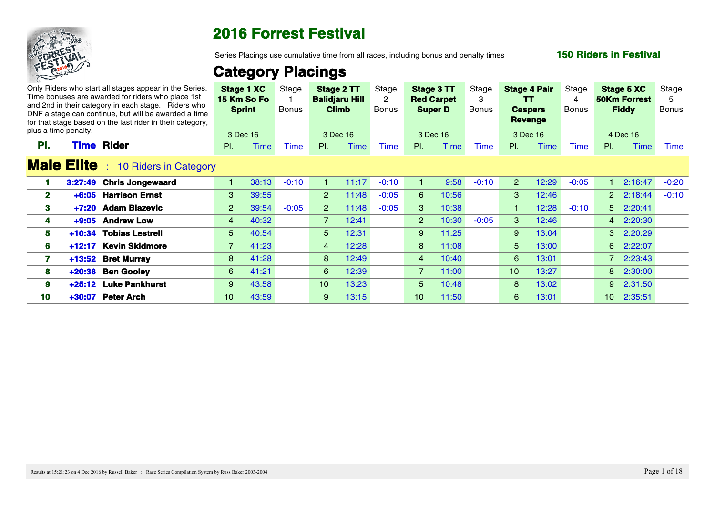

Series Placings use cumulative time from all races, including bonus and penalty times

#### **150 Riders in Festival**

|     | Only Riders who start all stages appear in the Series.<br>Time bonuses are awarded for riders who place 1st<br>and 2nd in their category in each stage. Riders who<br>DNF a stage can continue, but will be awarded a time<br>for that stage based on the last rider in their category,<br>plus a time penalty. |                 | Stage 1 XC<br>15 Km So Fo<br><b>Sprint</b><br>3 Dec 16 | Stage<br>Bonus |                 | Stage 2 TT<br><b>Balidjaru Hill</b><br><b>Climb</b><br>3 Dec 16 | Stage<br>Bonus | Stage 3 TT      | <b>Red Carpet</b><br><b>Super D</b><br>3 Dec 16 | Stage<br><b>Bonus</b> |                 | <b>Stage 4 Pair</b><br>TT<br><b>Caspers</b><br><b>Revenge</b><br>3 Dec 16 | Stage<br>Bonus | Stage 5 XC<br><b>50Km Forrest</b><br><b>Fiddy</b><br>4 Dec 16 |                 | Stage<br><b>Bonus</b> |
|-----|-----------------------------------------------------------------------------------------------------------------------------------------------------------------------------------------------------------------------------------------------------------------------------------------------------------------|-----------------|--------------------------------------------------------|----------------|-----------------|-----------------------------------------------------------------|----------------|-----------------|-------------------------------------------------|-----------------------|-----------------|---------------------------------------------------------------------------|----------------|---------------------------------------------------------------|-----------------|-----------------------|
| PI. | <b>Time Rider</b>                                                                                                                                                                                                                                                                                               | PI.             | Time                                                   | `ime           | PI.             | <b>Time</b>                                                     | <b>Time</b>    | PI.             | Time                                            | Time                  | PI.             | Time                                                                      | <b>Time</b>    | PI.                                                           | Time            | <b>Time</b>           |
|     | <b>Male Elite</b> : 10 Riders in Category                                                                                                                                                                                                                                                                       |                 |                                                        |                |                 |                                                                 |                |                 |                                                 |                       |                 |                                                                           |                |                                                               |                 |                       |
|     | 3:27:49 Chris Jongewaard                                                                                                                                                                                                                                                                                        |                 | 38:13                                                  | $-0:10$        |                 | 11:17                                                           | $-0:10$        |                 | 9:58                                            | $-0:10$               | $\overline{2}$  | 12:29                                                                     | $-0:05$        |                                                               | 2:16:47 -0:20   |                       |
| 2   | +6:05 Harrison Ernst                                                                                                                                                                                                                                                                                            | $3^{\circ}$     | 39:55                                                  |                |                 | $2 \quad 11:48$                                                 | $-0:05$        | -6              | 10:56                                           |                       | $\mathbf{3}$    | 12:46                                                                     |                |                                                               | 2 2:18:44 -0:10 |                       |
| 3   | +7:20 Adam Blazevic                                                                                                                                                                                                                                                                                             | $2^{\circ}$     | 39:54                                                  | $-0:05$        | $2^{\circ}$     | 11:48                                                           | $-0:05$        | 3               | 10:38                                           |                       |                 | 12:28                                                                     | $-0:10$        |                                                               | 5 2:20:41       |                       |
|     | +9:05 Andrew Low                                                                                                                                                                                                                                                                                                | $\overline{4}$  | 40:32                                                  |                | $\overline{7}$  | 12:41                                                           |                | $2^{\circ}$     | 10:30                                           | $-0:05$               | 3               | 12:46                                                                     |                |                                                               | 4 2:20:30       |                       |
| 5.  | <b>Tobias Lestrell</b><br>+10:34                                                                                                                                                                                                                                                                                | $5 -$           | 40:54                                                  |                | 5 <sup>5</sup>  | 12:31                                                           |                | 9               | 11:25                                           |                       | 9               | 13:04                                                                     |                |                                                               | 3 2:20:29       |                       |
| 6   | +12:17 Kevin Skidmore                                                                                                                                                                                                                                                                                           |                 | 741:23                                                 |                | $\overline{4}$  | 12:28                                                           |                | 8               | 11:08                                           |                       | 5 <sup>1</sup>  | 13:00                                                                     |                |                                                               | 6 2:22:07       |                       |
|     | +13:52 Bret Murray                                                                                                                                                                                                                                                                                              | 8 <sub>1</sub>  | 41:28                                                  |                | 8 <sup>1</sup>  | 12:49                                                           |                | $\overline{4}$  | 10:40                                           |                       | 6               | 13:01                                                                     |                |                                                               | 7 2:23:43       |                       |
| 8   | <b>Ben Gooley</b><br>$+20:38$                                                                                                                                                                                                                                                                                   | $6 -$           | 41:21                                                  |                | 6 <sup>6</sup>  | 12:39                                                           |                | $\overline{7}$  | 11:00                                           |                       | 10 <sup>1</sup> | 13:27                                                                     |                |                                                               | 8 2:30:00       |                       |
| 9   | +25:12 Luke Pankhurst                                                                                                                                                                                                                                                                                           | $9^{\circ}$     | 43:58                                                  |                | 10 <sup>1</sup> | 13:23                                                           |                | 5 <sup>5</sup>  | 10:48                                           |                       | 8               | 13:02                                                                     |                |                                                               | 9 2:31:50       |                       |
| 10  | +30:07 Peter Arch                                                                                                                                                                                                                                                                                               | 10 <sup>1</sup> | 43:59                                                  |                | $9^{\circ}$     | 13:15                                                           |                | 10 <sup>1</sup> | 11:50                                           |                       | 6               | 13:01                                                                     |                |                                                               | 10 2:35:51      |                       |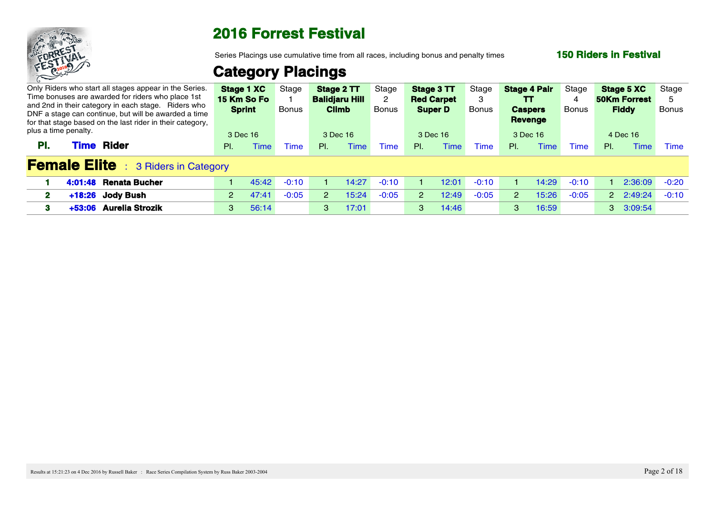

Series Placings use cumulative time from all races, including bonus and penalty times

### **150 Riders in Festival**

| Only Riders who start all stages appear in the Series.<br>Time bonuses are awarded for riders who place 1st<br>and 2nd in their category in each stage. Riders who<br>DNF a stage can continue, but will be awarded a time<br>for that stage based on the last rider in their category, |             | <b>Stage 1 XC</b> Stage<br>15 Km So Fo<br><b>Sprint</b> | <b>Bonus</b> |     | Stage 2 TT<br><b>Balidjaru Hill</b><br><b>Climb</b> | Stage<br><b>Bonus</b> | Stage 3 TT<br><b>Red Carpet</b><br><b>Super D</b> |       | Stage<br>Bonus | <b>Stage 4 Pair</b><br>TT<br><b>Caspers</b><br><b>Revenge</b> |       | Stage<br>Bonus | <b>Stage 5 XC</b><br><b>50Km Forrest</b><br><b>Fiddy</b> |                 | Stage<br>Bonus |  |  |  |  |  |
|-----------------------------------------------------------------------------------------------------------------------------------------------------------------------------------------------------------------------------------------------------------------------------------------|-------------|---------------------------------------------------------|--------------|-----|-----------------------------------------------------|-----------------------|---------------------------------------------------|-------|----------------|---------------------------------------------------------------|-------|----------------|----------------------------------------------------------|-----------------|----------------|--|--|--|--|--|
| plus a time penalty.                                                                                                                                                                                                                                                                    |             | 3 Dec 16                                                |              |     | 3 Dec 16                                            |                       | 3 Dec 16                                          |       |                | 3 Dec 16                                                      |       |                | 4 Dec 16                                                 |                 |                |  |  |  |  |  |
| Rider<br>PI.<br><b>Fime</b>                                                                                                                                                                                                                                                             | PI.         | Time                                                    | Time         | PI. | Time                                                | -ime                  | PL.                                               |       | Time           | <b>PI</b>                                                     | Time  | <b>ime</b>     | PL.                                                      | Time            | Time           |  |  |  |  |  |
| <b>Female Elite</b> : 3 Riders in Category                                                                                                                                                                                                                                              |             |                                                         |              |     |                                                     |                       |                                                   |       |                |                                                               |       |                |                                                          |                 |                |  |  |  |  |  |
| 4:01:48 Renata Bucher                                                                                                                                                                                                                                                                   |             | 45:42                                                   | $-0:10$      |     | 14:27                                               | $-0:10$               |                                                   | 12:01 | $-0:10$        |                                                               | 14:29 | $-0:10$        |                                                          | 2:36:09 -0:20   |                |  |  |  |  |  |
| +18:26 Jody Bush                                                                                                                                                                                                                                                                        | $2^{\circ}$ | 47:41                                                   | $-0:05$      |     | 15:24                                               | $-0:05$               |                                                   | 12:49 | $-0:05$        |                                                               | 15:26 | $-0:05$        |                                                          | 2 2:49:24 -0:10 |                |  |  |  |  |  |
| +53:06 Aurelia Strozik                                                                                                                                                                                                                                                                  | 3           | 56:14                                                   |              | -3  | 17:01                                               |                       | 3                                                 | 14:46 |                |                                                               | 16:59 |                |                                                          | 3 3:09:54       |                |  |  |  |  |  |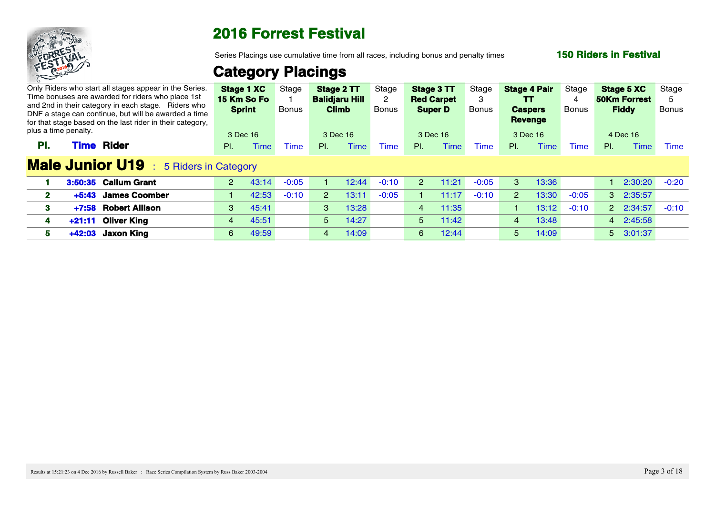

Series Placings use cumulative time from all races, including bonus and penalty times

### **150 Riders in Festival**

|                      | Only Riders who start all stages appear in the Series.<br>Time bonuses are awarded for riders who place 1st                                                              |                | <b>Stage 1 XC</b><br>15 Km So Fo | Stage        |                | Stage 2 TT<br><b>Balidjaru Hill</b> | Stage        | <b>Red Carpet</b> | Stage 3 TT     | Stage       | <b>Stage 4 Pair</b><br>TT.       |          | Stage   | <b>Stage 5 XC</b><br><b>50Km Forrest</b> |                  | Stage |
|----------------------|--------------------------------------------------------------------------------------------------------------------------------------------------------------------------|----------------|----------------------------------|--------------|----------------|-------------------------------------|--------------|-------------------|----------------|-------------|----------------------------------|----------|---------|------------------------------------------|------------------|-------|
|                      | and 2nd in their category in each stage. Riders who<br>DNF a stage can continue, but will be awarded a time<br>for that stage based on the last rider in their category, |                | <b>Sprint</b>                    | <b>Bonus</b> |                | <b>Climb</b>                        | <b>Bonus</b> |                   | <b>Super D</b> | Bonus       | <b>Caspers</b><br><b>Revenge</b> |          | Bonus   | <b>Fiddy</b>                             |                  | Bonus |
| plus a time penalty. |                                                                                                                                                                          |                | 3 Dec 16                         |              | 3 Dec 16       |                                     |              |                   | 3 Dec 16       |             | 3 Dec 16                         |          |         | 4 Dec 16                                 |                  |       |
| PL.                  | Rider<br><b>Fime</b>                                                                                                                                                     | $PL =$         | <b>Time</b>                      | <b>Time</b>  | PL             | <b>Time</b>                         | Time         | PL                | <b>Time</b>    | <b>Time</b> | PL                               | Time     | Time    | PL                                       | Time             | Time  |
|                      | <b>Male Junior U19</b> : 5 Riders in Category                                                                                                                            |                |                                  |              |                |                                     |              |                   |                |             |                                  |          |         |                                          |                  |       |
|                      | 3:50:35 Callum Grant                                                                                                                                                     | $2^{\circ}$    | -43:14                           | $-0:05$      |                | 12:44                               | $-0:10$      | 2                 | 11:21          | $-0:05$     |                                  | 13:36    |         |                                          | 1 2:30:20 -0:20  |       |
|                      | <b>James Coomber</b><br>$+5:43$                                                                                                                                          |                | 42:53                            | $-0:10$      | 2              | 13:11                               | $-0:05$      |                   | 11:17          | $-0:10$     |                                  | 13:30    | $-0:05$ |                                          | 3 2:35:57        |       |
|                      | +7:58 Robert Allison                                                                                                                                                     | $3 -$          | 45:41                            |              | $3^{\circ}$    | 13:28                               |              | $\overline{4}$    | 11:35          |             |                                  | $-13:12$ | $-0:10$ |                                          | 2 2:34:57 -0:10  |       |
|                      | +21:11 Oliver King                                                                                                                                                       | $\overline{4}$ | 45:51                            |              | $5 -$          | 14:27                               |              |                   | $5 - 11:42$    |             | $\overline{4}$                   | 13:48    |         |                                          | 4 2:45:58        |       |
|                      | Jaxon King<br>+42:03                                                                                                                                                     | $6 -$          | 49:59                            |              | $\overline{4}$ | 14:09                               |              | 6 <sup>6</sup>    | 12:44          |             | $5^{\circ}$                      | 14:09    |         |                                          | $5\quad 3:01:37$ |       |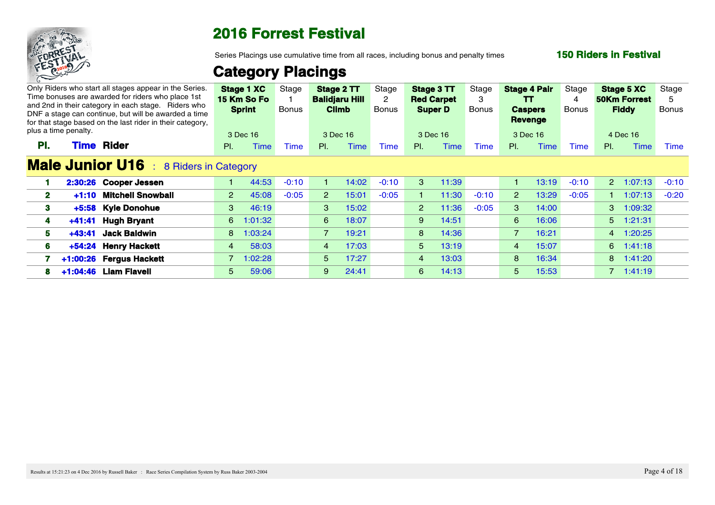

Series Placings use cumulative time from all races, including bonus and penalty times

### **150 Riders in Festival**

| Only Riders who start all stages appear in the Series.<br>Time bonuses are awarded for riders who place 1st<br>and 2nd in their category in each stage. Riders who<br>DNF a stage can continue, but will be awarded a time<br>for that stage based on the last rider in their category, |                                                     | Stage<br>Bonus                                                                                                           |                                                                                                                         |       | Stage<br>Bonus                                                                                                                      |                      |                      | Stage<br>Bonus                                                                              |                      |       | Stage<br><b>Bonus</b>                                                                    |             |                 | Stage<br>Bonus                                                                                                                                                                                  |
|-----------------------------------------------------------------------------------------------------------------------------------------------------------------------------------------------------------------------------------------------------------------------------------------|-----------------------------------------------------|--------------------------------------------------------------------------------------------------------------------------|-------------------------------------------------------------------------------------------------------------------------|-------|-------------------------------------------------------------------------------------------------------------------------------------|----------------------|----------------------|---------------------------------------------------------------------------------------------|----------------------|-------|------------------------------------------------------------------------------------------|-------------|-----------------|-------------------------------------------------------------------------------------------------------------------------------------------------------------------------------------------------|
|                                                                                                                                                                                                                                                                                         |                                                     |                                                                                                                          |                                                                                                                         |       |                                                                                                                                     |                      |                      |                                                                                             |                      |       |                                                                                          |             |                 | Time                                                                                                                                                                                            |
|                                                                                                                                                                                                                                                                                         |                                                     |                                                                                                                          |                                                                                                                         |       |                                                                                                                                     |                      |                      |                                                                                             |                      |       |                                                                                          |             |                 |                                                                                                                                                                                                 |
| 2:30:26 Cooper Jessen                                                                                                                                                                                                                                                                   |                                                     | $-0:10$                                                                                                                  |                                                                                                                         |       | $-0:10$                                                                                                                             | -3                   | 11:39                |                                                                                             |                      | 13:19 | $-0:10$                                                                                  |             |                 |                                                                                                                                                                                                 |
| <b>Mitchell Snowball</b><br>$+1:10$                                                                                                                                                                                                                                                     |                                                     | $-0:05$                                                                                                                  | 2 <sup>2</sup>                                                                                                          | 15:01 | $-0:05$                                                                                                                             |                      | 11:30                | $-0:10$                                                                                     |                      | 13:29 | $-0:05$                                                                                  |             |                 | $-0:20$                                                                                                                                                                                         |
| +5:58 Kyle Donohue                                                                                                                                                                                                                                                                      |                                                     |                                                                                                                          |                                                                                                                         | 15:02 |                                                                                                                                     |                      |                      | $-0:05$                                                                                     | <u>3</u>             | 14:00 |                                                                                          |             |                 |                                                                                                                                                                                                 |
| <b>Hugh Bryant</b><br>$+41:41$                                                                                                                                                                                                                                                          |                                                     |                                                                                                                          |                                                                                                                         | 18:07 |                                                                                                                                     | 9                    | 14:51                |                                                                                             | 6 <sup>6</sup>       | 16:06 |                                                                                          |             |                 |                                                                                                                                                                                                 |
| <b>Jack Baldwin</b><br>$-43:41$                                                                                                                                                                                                                                                         |                                                     |                                                                                                                          |                                                                                                                         |       |                                                                                                                                     | 8 <sup>1</sup>       | 14:36                |                                                                                             | $\overline{7}$       | 16:21 |                                                                                          |             |                 |                                                                                                                                                                                                 |
| +54:24 Henry Hackett                                                                                                                                                                                                                                                                    |                                                     |                                                                                                                          |                                                                                                                         | 17:03 |                                                                                                                                     |                      | 13:19                |                                                                                             | $\overline{4}$       | 15:07 |                                                                                          |             |                 |                                                                                                                                                                                                 |
| +1:00:26 Fergus Hackett                                                                                                                                                                                                                                                                 |                                                     |                                                                                                                          |                                                                                                                         | 17:27 |                                                                                                                                     | $\overline{4}$       | 13:03                |                                                                                             | 8 <sup>1</sup>       | 16:34 |                                                                                          |             |                 |                                                                                                                                                                                                 |
| 8 +1:04:46 Liam Flavell                                                                                                                                                                                                                                                                 |                                                     |                                                                                                                          | 9                                                                                                                       | 24:41 |                                                                                                                                     | 6 <sup>6</sup>       | 14:13                |                                                                                             | 5 <sup>5</sup>       | 15:53 |                                                                                          |             |                 |                                                                                                                                                                                                 |
|                                                                                                                                                                                                                                                                                         | plus a time penalty.<br><b>Rider</b><br><b>Time</b> | <b>Sprint</b><br>3 Dec 16<br>PL<br>Time<br><b>Male Junior U16</b> : 8 Riders in Category<br>3<br>$\overline{4}$<br>$5 -$ | Stage 1 XC<br>15 Km So Fo<br>Time<br>44:53<br>2 45:08<br>46:19<br>6 1:01:32<br>8 1:03:24<br>58:03<br>7 1:02:28<br>59:06 | PI.   | Stage 2 TT<br><b>Balidjaru Hill</b><br><b>Climb</b><br>3 Dec 16<br><b>Time</b><br>-3<br>$6 -$<br>7 19:21<br>$\overline{4}$<br>$5 -$ | <b>Time</b><br>14:02 | PL<br>5 <sup>1</sup> | Stage 3 TT<br><b>Red Carpet</b><br><b>Super D</b><br>3 Dec 16<br><b>Time</b><br>$2^{\circ}$ | <b>Time</b><br>11:36 | PL    | <b>Stage 4 Pair</b><br><b>TT</b><br><b>Caspers</b><br>Revenge<br>3 Dec 16<br><b>Time</b> | <b>Time</b> | $\mathsf{PI}$ . | Stage 5 XC<br><b>50Km Forrest</b><br><b>Fiddy</b><br>4 Dec 16<br>Time<br>2 1:07:13 -0:10<br>1:07:13<br>$3 - 1:09:32$<br>$5 - 1:21:31$<br>4 1:20:25<br>$6$ 1:41:18<br>8 1:41:20<br>$7 - 1:41:19$ |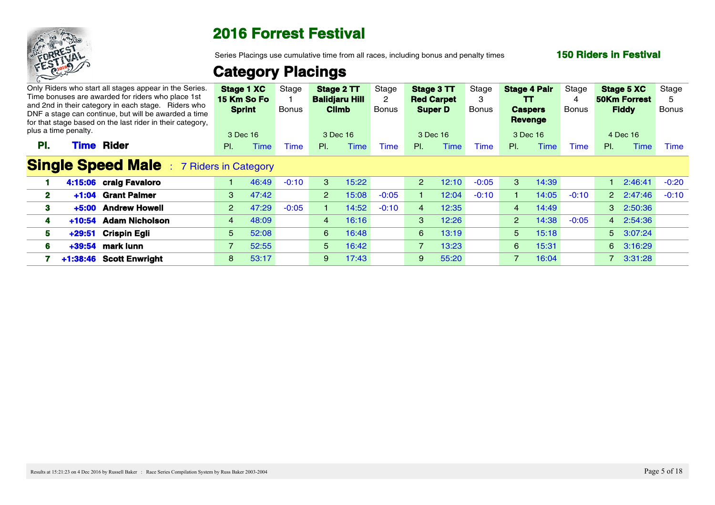

Series Placings use cumulative time from all races, including bonus and penalty times

### **150 Riders in Festival**

| plus a time penalty. | Only Riders who start all stages appear in the Series.<br>Time bonuses are awarded for riders who place 1st<br>and 2nd in their category in each stage. Riders who<br>DNF a stage can continue, but will be awarded a time<br>for that stage based on the last rider in their category, |                | Stage 1 XC<br>15 Km So Fo<br><b>Sprint</b><br>3 Dec 16 | Stage<br>Bonus | <b>Climb</b> | Stage 2 TT<br><b>Balidjaru Hill</b><br>3 Dec 16 | Stage<br>Bonus | Stage 3 TT<br><b>Red Carpet</b><br><b>Super D</b><br>3 Dec 16 |       | Stage<br><b>Bonus</b> |                | <b>Stage 4 Pair</b><br>TT.<br><b>Caspers</b><br>Revenge<br>3 Dec 16 | Stage<br>Bonus | Stage 5 XC<br><b>50Km Forrest</b><br><b>Fiddy</b><br>4 Dec 16 |                 | Stage<br>Bonus |
|----------------------|-----------------------------------------------------------------------------------------------------------------------------------------------------------------------------------------------------------------------------------------------------------------------------------------|----------------|--------------------------------------------------------|----------------|--------------|-------------------------------------------------|----------------|---------------------------------------------------------------|-------|-----------------------|----------------|---------------------------------------------------------------------|----------------|---------------------------------------------------------------|-----------------|----------------|
| PI.                  | <b>Rider</b><br><b>Time</b>                                                                                                                                                                                                                                                             | $PL =$         | Гіmе                                                   | Time           | PI.          | Time                                            | <b>Time</b>    | PL                                                            | Time  | Time                  | PI.            | ïme                                                                 | Time           | PI.                                                           | <b>Time</b>     | Time           |
|                      | <b>Single Speed Male</b> : 7 Riders in Category                                                                                                                                                                                                                                         |                |                                                        |                |              |                                                 |                |                                                               |       |                       |                |                                                                     |                |                                                               |                 |                |
|                      | 4:15:06 craig Favaloro                                                                                                                                                                                                                                                                  | 1              | 46:49                                                  | $-0:10$        | 3            | 15:22                                           |                | $2^{\circ}$                                                   | 12:10 | $-0:05$               | 3              | 14:39                                                               |                |                                                               | 1 2:46:41 -0:20 |                |
| $\mathbf{2}^-$       | <b>Grant Palmer</b><br>$+1:04$                                                                                                                                                                                                                                                          | $3^{\circ}$    | 47:42                                                  |                | $2^{\circ}$  | 15:08                                           | $-0:05$        |                                                               | 12:04 | $-0:10$               |                | 14:05                                                               | $-0:10$        |                                                               | 2 2:47:46       | $-0:10$        |
| 3                    | <b>Andrew Howell</b><br>$+5:00$                                                                                                                                                                                                                                                         | $2^{\circ}$    | 47:29                                                  | $-0:05$        |              | 14:52                                           | $-0:10$        |                                                               | 12:35 |                       | 4              | 14:49                                                               |                |                                                               | 3 2:50:36       |                |
|                      | <b>Adam Nicholson</b><br>$+10:54$                                                                                                                                                                                                                                                       | 4              | 48:09                                                  |                | 4            | 16:16                                           |                | $\mathbf{3}$                                                  | 12:26 |                       |                | 2 14:38                                                             | $-0:05$        |                                                               | 4 2:54:36       |                |
| 5                    | Crispin Egli<br>$+29:51$                                                                                                                                                                                                                                                                | 5 <sup>5</sup> | 52:08                                                  |                | $6 -$        | 16:48                                           |                | 6 <sup>1</sup>                                                | 13:19 |                       | 5 <sup>1</sup> | 15:18                                                               |                |                                                               | 5 3:07:24       |                |
| 6                    | mark lunn<br>+39:54                                                                                                                                                                                                                                                                     | $7^{\circ}$    | 52:55                                                  |                |              | $5$ 16:42                                       |                | $\overline{7}$                                                | 13:23 |                       | 6              | 15:31                                                               |                |                                                               | 6 3:16:29       |                |
|                      | +1:38:46 Scott Enwright                                                                                                                                                                                                                                                                 | 8 <sub>1</sub> | 53:17                                                  |                | 9            | 17:43                                           |                | 9 <sup>7</sup>                                                | 55:20 |                       |                | 16:04                                                               |                |                                                               | 7 3:31:28       |                |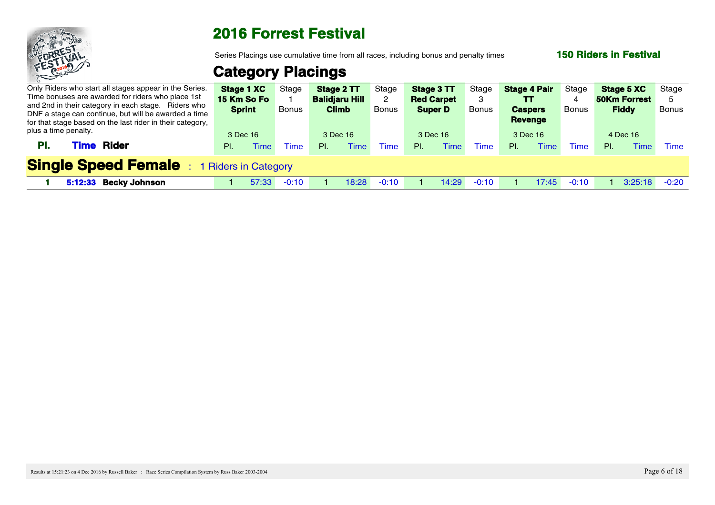

Series Placings use cumulative time from all races, including bonus and penalty times

### **150 Riders in Festival**

| Only Riders who start all stages appear in the Series.<br>Time bonuses are awarded for riders who place 1st<br>and 2nd in their category in each stage. Riders who<br>DNF a stage can continue, but will be awarded a time<br>for that stage based on the last rider in their category, |     | <b>Stage 1 XC</b> Stage<br><b>15 Km So Fo</b><br><b>Sprint</b> | <b>Bonus</b> |    | Stage 2 TT<br><b>Balidjaru Hill</b><br><b>Climb</b> | Stage<br><b>Bonus</b> | Stage 3 TT<br><b>Red Carpet</b><br><b>Super D</b> |      | Stage<br>Bonus | <b>Stage 4 Pair</b><br>TT.<br><b>Caspers</b><br>Revenge |       | Stage<br><b>Bonus</b> |     | <b>Stage 5 XC</b> Stage<br><b>50Km Forrest</b><br><b>Fiddy</b> | Bonus |  |
|-----------------------------------------------------------------------------------------------------------------------------------------------------------------------------------------------------------------------------------------------------------------------------------------|-----|----------------------------------------------------------------|--------------|----|-----------------------------------------------------|-----------------------|---------------------------------------------------|------|----------------|---------------------------------------------------------|-------|-----------------------|-----|----------------------------------------------------------------|-------|--|
| plus a time penalty.<br><b>Rider</b><br><b>Time</b><br>PI.                                                                                                                                                                                                                              | PI. | 3 Dec 16<br><b>Time</b>                                        | Time         | PL | 3 Dec 16<br>Time                                    | Time                  | 3 Dec 16<br>PL                                    | Time | Time           | 3 Dec 16<br>-PL                                         | Time. | Time                  | PL. | 4 Dec 16                                                       | Time  |  |
| <b>Single Speed Female</b>                                                                                                                                                                                                                                                              |     | 1 Riders in Category                                           |              |    |                                                     |                       |                                                   |      |                |                                                         |       |                       |     |                                                                |       |  |
| 5:12:33 Becky Johnson                                                                                                                                                                                                                                                                   |     | 57:33                                                          | $-0.1$       |    | 18:28.                                              |                       |                                                   |      | $-0:10$        |                                                         |       | $-0:10$               |     | $3:25:18$ $-0:20$                                              |       |  |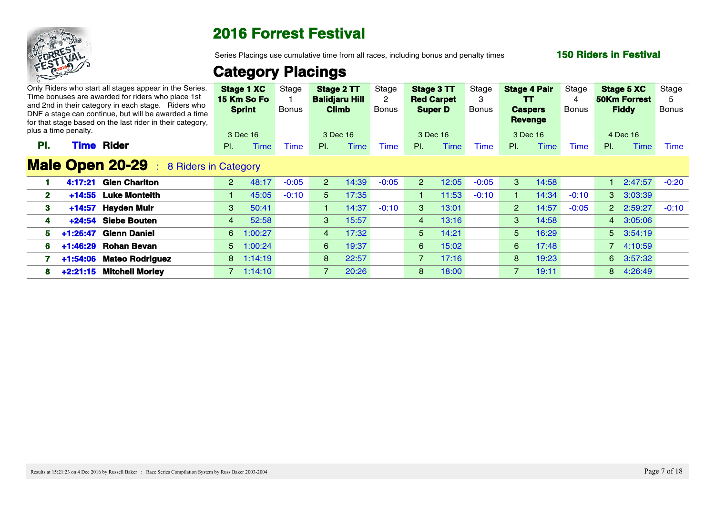

Series Placings use cumulative time from all races, including bonus and penalty times

### **150 Riders in Festival**

|                | plus a time penalty. | Only Riders who start all stages appear in the Series.<br>Time bonuses are awarded for riders who place 1st<br>and 2nd in their category in each stage. Riders who<br>DNF a stage can continue, but will be awarded a time<br>for that stage based on the last rider in their category, |             | Stage 1 XC<br>15 Km So Fo<br><b>Sprint</b><br>3 Dec 16 | Stage<br>Bonus |                | Stage 2 TT<br><b>Balidjaru Hill</b><br><b>Climb</b><br>3 Dec 16 | Stage<br><b>Bonus</b> | Stage 3 TT<br><b>Red Carpet</b><br><b>Super D</b> | 3 Dec 16    | Stage<br>Bonus | <b>Stage 4 Pair</b><br>TT.<br><b>Caspers</b><br>Revenge<br>3 Dec 16 |         | Stage<br>Bonus | <b>Stage 5 XC</b><br><b>50Km Forrest</b><br><b>Fiddy</b><br>4 Dec 16 |                 | Stage<br>Bonus |
|----------------|----------------------|-----------------------------------------------------------------------------------------------------------------------------------------------------------------------------------------------------------------------------------------------------------------------------------------|-------------|--------------------------------------------------------|----------------|----------------|-----------------------------------------------------------------|-----------------------|---------------------------------------------------|-------------|----------------|---------------------------------------------------------------------|---------|----------------|----------------------------------------------------------------------|-----------------|----------------|
| PI.            |                      | <b>Time Rider</b>                                                                                                                                                                                                                                                                       | PL          | Time                                                   | <b>Time</b>    | PI.            | <b>Time</b>                                                     | Time                  | PI.                                               | <b>Time</b> | Time           | PI.                                                                 | Time    | Time           | PI.                                                                  | Time            | Time           |
|                |                      | <b>Male Open 20-29</b> : 8 Riders in Category                                                                                                                                                                                                                                           |             |                                                        |                |                |                                                                 |                       |                                                   |             |                |                                                                     |         |                |                                                                      |                 |                |
|                |                      | 4:17:21 Glen Charlton                                                                                                                                                                                                                                                                   | $2^{\circ}$ | 48:17                                                  | $-0:05$        | 2 <sup>1</sup> | 14:39                                                           | $-0:05$               | 2 <sup>1</sup>                                    | 12:05       | $-0:05$        | 3                                                                   | 14:58   |                |                                                                      | 1 2:47:57 -0:20 |                |
| $\mathbf{2}^-$ | $+14:55$             | <b>Luke Monteith</b>                                                                                                                                                                                                                                                                    | $1 -$       | 45:05                                                  | $-0:10$        | 5.             | 17:35                                                           |                       |                                                   | 11:53       | $-0:10$        |                                                                     | 14:34   | $-0:10$        | 3 3:03:39                                                            |                 |                |
| 3.             |                      | +14:57 Hayden Muir                                                                                                                                                                                                                                                                      |             | $3$ $50:41$                                            |                |                | 1 14:37                                                         | $-0:10$               | -3                                                | 13:01       |                |                                                                     | 2 14:57 | $-0:05$        |                                                                      | 2 2:59:27 -0:10 |                |
|                | +24:54               | <b>Siebe Bouten</b>                                                                                                                                                                                                                                                                     | $\sim$ 4    | 52:58                                                  |                |                | $3$ 15:57                                                       |                       | $\sim$ 4                                          | 13:16       |                | $\mathbf{3}$                                                        | 14:58   |                | 4 3:05:06                                                            |                 |                |
|                |                      | 5 +1:25:47 Glenn Daniel                                                                                                                                                                                                                                                                 |             | 6 1:00:27                                              |                |                | 4 17:32                                                         |                       | 5 <sup>1</sup>                                    | 14:21       |                | 5 <sup>1</sup>                                                      | 16:29   |                | $5\quad 3:54:19$                                                     |                 |                |
|                |                      | 6 +1:46:29 Rohan Bevan                                                                                                                                                                                                                                                                  |             | $5 - 1:00:24$                                          |                | 6 <sup>6</sup> | 19:37                                                           |                       | 6 <sup>6</sup>                                    | 15:02       |                | 6                                                                   | 17:48   |                | 7 4:10:59                                                            |                 |                |
|                |                      | +1:54:06 Mateo Rodriguez                                                                                                                                                                                                                                                                |             | 8 1:14:19                                              |                | 8              | 22:57                                                           |                       | $\overline{7}$                                    | 17:16       |                | 8                                                                   | 19:23   |                | 6 3:57:32                                                            |                 |                |
|                |                      | 8 +2:21:15 Mitchell Morley                                                                                                                                                                                                                                                              |             | $7 - 1:14:10$                                          |                | $7^{\circ}$    | 20:26                                                           |                       | 8                                                 | 18:00       |                |                                                                     | 19:11   |                | 8 4:26:49                                                            |                 |                |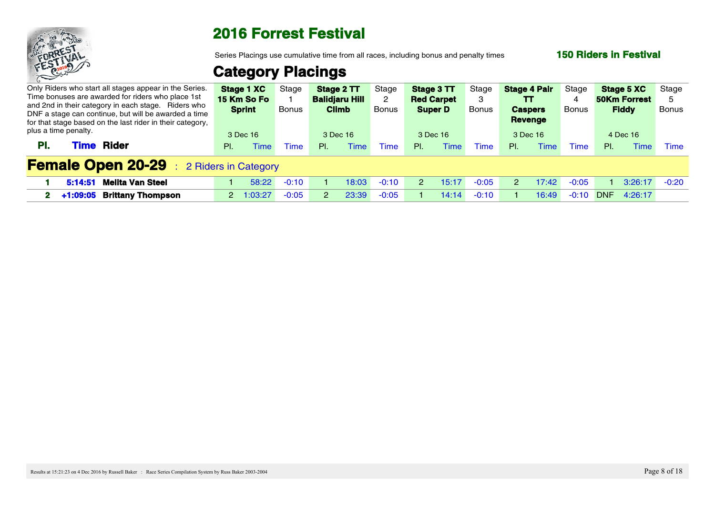

Series Placings use cumulative time from all races, including bonus and penalty times

### **150 Riders in Festival**

| Only Riders who start all stages appear in the Series.<br>Time bonuses are awarded for riders who place 1st<br>and 2nd in their category in each stage. Riders who<br>DNF a stage can continue, but will be awarded a time<br>for that stage based on the last rider in their category, |     | <b>Stage 1 XC</b> Stage<br>15 Km So Fo<br><b>Sprint</b> | <b>Bonus</b> | <b>Balidjaru Hill</b><br><b>Climb</b> |             | <b>Stage 2 TT</b> Stage<br>Bonus | <b>Red Carpet</b><br><b>Super D</b> | Stage 3 TT | Stage<br>Bonus | <b>Stage 4 Pair</b><br>TT<br><b>Caspers</b><br>Revenge |       | Stage<br>Bonus |     | <b>Stage 5 XC</b> Stage<br><b>50Km Forrest</b><br><b>Fiddy</b> | Bonus |  |
|-----------------------------------------------------------------------------------------------------------------------------------------------------------------------------------------------------------------------------------------------------------------------------------------|-----|---------------------------------------------------------|--------------|---------------------------------------|-------------|----------------------------------|-------------------------------------|------------|----------------|--------------------------------------------------------|-------|----------------|-----|----------------------------------------------------------------|-------|--|
| plus a time penalty.                                                                                                                                                                                                                                                                    |     | 3 Dec 16                                                |              | 3 Dec 16                              |             |                                  | 3 Dec 16                            |            |                | 3 Dec 16                                               |       |                |     | 4 Dec 16                                                       |       |  |
| <b>Time Rider</b><br>PL.                                                                                                                                                                                                                                                                | PI. |                                                         |              | PI.                                   | <b>Time</b> | ime                              | PL                                  |            | <i>ime</i>     | <b>PI</b>                                              | Fime  | <b>Time</b>    | PL. | <b>Time</b>                                                    | Time  |  |
| <b>Female Open 20-29</b> : 2 Riders in Category                                                                                                                                                                                                                                         |     |                                                         |              |                                       |             |                                  |                                     |            |                |                                                        |       |                |     |                                                                |       |  |
| 5:14:51 Melita Van Steel                                                                                                                                                                                                                                                                |     | 58:22                                                   | $-0:10$      |                                       | 18:03       | -ቦ 1በ                            |                                     | 15:17      | $-0.05$        |                                                        | 17.42 |                |     | $\sqrt{3:26:17}$ -0:20                                         |       |  |
| 2 +1:09:05 Brittany Thompson                                                                                                                                                                                                                                                            |     | 2 1:03:27                                               | $-0:05$      |                                       | 23:39       |                                  |                                     | 14:14      |                |                                                        | 16:49 | $-0:10$        |     | DNF 4:26:17                                                    |       |  |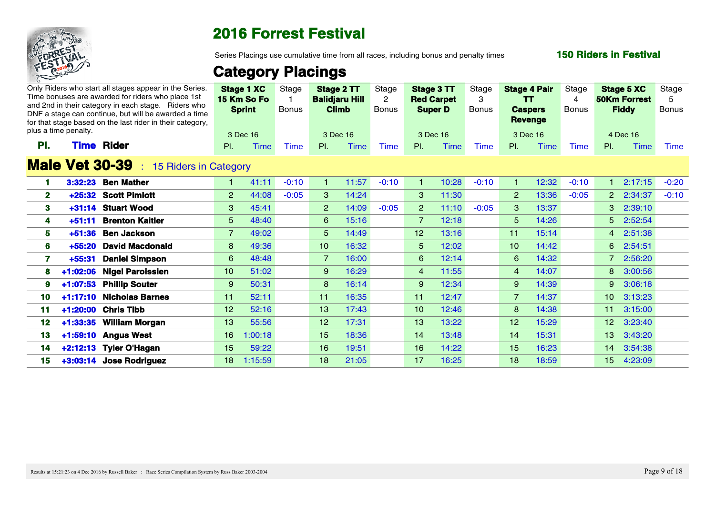

Series Placings use cumulative time from all races, including bonus and penalty times

### **150 Riders in Festival**

|              | plus a time penalty. |          | Only Riders who start all stages appear in the Series.<br>Time bonuses are awarded for riders who place 1st<br>and 2nd in their category in each stage. Riders who<br>DNF a stage can continue, but will be awarded a time<br>for that stage based on the last rider in their category. |                 | <b>Stage 1 XC</b><br>15 Km So Fo<br><b>Sprint</b><br>3 Dec 16 | Stage<br><b>Bonus</b> |                 | Stage 2 TT<br><b>Balidjaru Hill</b><br><b>Climb</b><br>3 Dec 16 | Stage<br>Bonus |                 | Stage 3 TT<br><b>Red Carpet</b><br><b>Super D</b><br>3 Dec 16 | Stage<br>Bonus |                 | <b>Stage 4 Pair</b><br>TT.<br><b>Caspers</b><br><b>Revenge</b><br>3 Dec 16 | Stage<br>Bonus | <b>Stage 5 XC</b><br><b>50Km Forrest</b><br><b>Fiddy</b><br>4 Dec 16 |             | Stage<br>.5<br><b>Bonus</b> |
|--------------|----------------------|----------|-----------------------------------------------------------------------------------------------------------------------------------------------------------------------------------------------------------------------------------------------------------------------------------------|-----------------|---------------------------------------------------------------|-----------------------|-----------------|-----------------------------------------------------------------|----------------|-----------------|---------------------------------------------------------------|----------------|-----------------|----------------------------------------------------------------------------|----------------|----------------------------------------------------------------------|-------------|-----------------------------|
| PI.          |                      |          | <b>Time Rider</b>                                                                                                                                                                                                                                                                       | PI.             | <b>Time</b>                                                   | Time                  | PI.             | <b>Time</b>                                                     | Time           | PI.             | Time                                                          | Time           | PI.             | Time                                                                       | Time           | PI.                                                                  | Time        | Time                        |
|              |                      |          | <b>Male Vet 30-39</b><br>15 Riders in Category                                                                                                                                                                                                                                          |                 |                                                               |                       |                 |                                                                 |                |                 |                                                               |                |                 |                                                                            |                |                                                                      |             |                             |
|              |                      |          | 3:32:23 Ben Mather                                                                                                                                                                                                                                                                      | $\mathbf{1}$    | 41:11                                                         | $-0:10$               |                 | 11:57                                                           | $-0:10$        |                 | 10:28                                                         | $-0:10$        |                 | 12:32                                                                      | $-0:10$        |                                                                      | 2:17:15     | $-0:20$                     |
| $\mathbf{2}$ |                      |          | +25:32 Scott Pimlott                                                                                                                                                                                                                                                                    | $2^{\circ}$     | 44:08                                                         | $-0:05$               | 3               | 14:24                                                           |                | 3               | 11:30                                                         |                | $\overline{2}$  | 13:36                                                                      | $-0:05$        |                                                                      | 2 2:34:37   | $-0:10$                     |
| 3            |                      |          | +31:14 Stuart Wood                                                                                                                                                                                                                                                                      | 3 <sup>1</sup>  | 45:41                                                         |                       | $\overline{2}$  | 14:09                                                           | $-0:05$        | 2               | 11:10                                                         | $-0:05$        | 3               | 13:37                                                                      |                |                                                                      | $3$ 2:39:10 |                             |
|              |                      | $+51:11$ | <b>Brenton Kaitler</b>                                                                                                                                                                                                                                                                  | 5 <sup>5</sup>  | 48:40                                                         |                       | 6 <sup>6</sup>  | 15:16                                                           |                | 7               | 12:18                                                         |                | -5.             | 14:26                                                                      |                |                                                                      | 5 2:52:54   |                             |
| 5.           |                      |          | +51:36 Ben Jackson                                                                                                                                                                                                                                                                      | 7 <sup>7</sup>  | 49:02                                                         |                       | 5 <sup>5</sup>  | 14:49                                                           |                | 12 <sup>7</sup> | 13:16                                                         |                | 11 <sub>1</sub> | 15:14                                                                      |                |                                                                      | 4 2:51:38   |                             |
| 6            |                      |          | +55:20 David Macdonald                                                                                                                                                                                                                                                                  | 8 <sup>°</sup>  | 49:36                                                         |                       | 10 <sup>1</sup> | 16:32                                                           |                | $5^{\circ}$     | 12:02                                                         |                | 10 <sup>°</sup> | 14:42                                                                      |                |                                                                      | 6 2:54:51   |                             |
|              |                      |          | +55:31 Daniel Simpson                                                                                                                                                                                                                                                                   | 6               | 48:48                                                         |                       | $\overline{7}$  | 16:00                                                           |                | 6               | 12:14                                                         |                | 6               | 14:32                                                                      |                |                                                                      | 7 2:56:20   |                             |
|              |                      |          | 8 +1:02:06 Nigel Paroissien                                                                                                                                                                                                                                                             | 10 <sup>1</sup> | 51:02                                                         |                       | 9               | 16:29                                                           |                | $\overline{4}$  | 11:55                                                         |                | $\overline{4}$  | 14:07                                                                      |                |                                                                      | 8 3:00:56   |                             |
|              |                      |          | 9 +1:07:53 Phillip Souter                                                                                                                                                                                                                                                               | 9 <sup>°</sup>  | 50:31                                                         |                       | 8               | 16:14                                                           |                | 9               | 12:34                                                         |                | 9               | 14:39                                                                      |                |                                                                      | 9 3:06:18   |                             |
| 10.          |                      |          | +1:17:10 Nicholas Barnes                                                                                                                                                                                                                                                                | 11              | 52:11                                                         |                       | 11              | 16:35                                                           |                | 11 <sub>1</sub> | 12:47                                                         |                | $\overline{7}$  | 14:37                                                                      |                |                                                                      | 10 3:13:23  |                             |
| 11           |                      |          | +1:20:00 Chris Tibb                                                                                                                                                                                                                                                                     | 12 <sup>7</sup> | 52:16                                                         |                       | 13 <sup>7</sup> | 17:43                                                           |                | 10 <sup>1</sup> | 12:46                                                         |                | 8               | 14:38                                                                      |                |                                                                      | 11 3:15:00  |                             |
|              |                      |          | 12 +1:33:35 William Morgan                                                                                                                                                                                                                                                              | 13 <sup>7</sup> | 55:56                                                         |                       | 12 <sup>7</sup> | 17:31                                                           |                | 13 <sup>°</sup> | 13:22                                                         |                | 12 <sup>2</sup> | 15:29                                                                      |                |                                                                      | 12 3:23:40  |                             |
| 13           |                      |          | +1:59:10 Angus West                                                                                                                                                                                                                                                                     |                 | 16 1:00:18                                                    |                       | 15 <sub>1</sub> | 18:36                                                           |                | 14              | 13:48                                                         |                | 14              | 15:31                                                                      |                |                                                                      | 13 3:43:20  |                             |
| 14           |                      |          | +2:12:13 Tyler O'Hagan                                                                                                                                                                                                                                                                  | 15 <sup>7</sup> | 59:22                                                         |                       | 16 <sup>1</sup> | 19:51                                                           |                | 16 <sup>°</sup> | 14:22                                                         |                | 15 <sub>1</sub> | 16:23                                                                      |                |                                                                      | 14 3:54:38  |                             |
|              |                      |          | 15 +3:03:14 Jose Rodriguez                                                                                                                                                                                                                                                              |                 | 18 1:15:59                                                    |                       | 18 <sup>1</sup> | 21:05                                                           |                | 17 <sup>2</sup> | 16:25                                                         |                | 18 <sup>°</sup> | 18:59                                                                      |                |                                                                      | 15 4:23:09  |                             |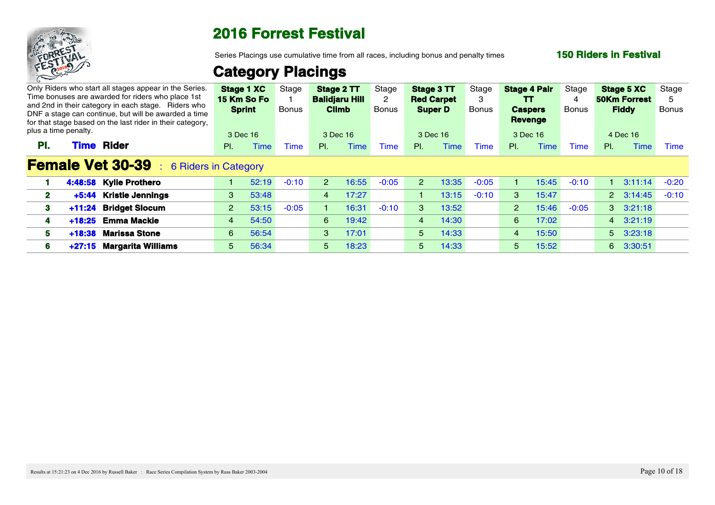

Series Placings use cumulative time from all races, including bonus and penalty times

### **150 Riders in Festival**

|                                |                                               |                                                                                                                                                                                                                                                                                                                                                 |       |                                                                                                                                                                       |                              |       | Stage                                                                                                                   |                |             | Stage                                                         |                |       |                                                                                                 |       |      | Stage                                                                                                                                                                   |
|--------------------------------|-----------------------------------------------|-------------------------------------------------------------------------------------------------------------------------------------------------------------------------------------------------------------------------------------------------------------------------------------------------------------------------------------------------|-------|-----------------------------------------------------------------------------------------------------------------------------------------------------------------------|------------------------------|-------|-------------------------------------------------------------------------------------------------------------------------|----------------|-------------|---------------------------------------------------------------|----------------|-------|-------------------------------------------------------------------------------------------------|-------|------|-------------------------------------------------------------------------------------------------------------------------------------------------------------------------|
|                                |                                               |                                                                                                                                                                                                                                                                                                                                                 |       | Bonus                                                                                                                                                                 |                              |       | Bonus                                                                                                                   |                |             |                                                               |                |       | Bonus                                                                                           |       |      | Bonus                                                                                                                                                                   |
|                                |                                               |                                                                                                                                                                                                                                                                                                                                                 |       |                                                                                                                                                                       |                              |       |                                                                                                                         |                |             |                                                               |                |       |                                                                                                 |       |      |                                                                                                                                                                         |
| <b>Rider</b><br><b>Fime</b>    |                                               | $PL =$                                                                                                                                                                                                                                                                                                                                          | Time  | <b>Time</b>                                                                                                                                                           | $PL =$                       | Time  | Time                                                                                                                    | PI.            | <b>Time</b> | <b>Time</b>                                                   | PL             | Time  | Time                                                                                            | PI.   | Time | Time                                                                                                                                                                    |
|                                |                                               |                                                                                                                                                                                                                                                                                                                                                 |       |                                                                                                                                                                       |                              |       |                                                                                                                         |                |             |                                                               |                |       |                                                                                                 |       |      |                                                                                                                                                                         |
| 4:48:58 Kylie Prothero         |                                               |                                                                                                                                                                                                                                                                                                                                                 |       | $-0:10$                                                                                                                                                               | 2 <sup>1</sup>               |       | $-0:05$                                                                                                                 | -2             | 13:35       | $-0:05$                                                       |                | 15:45 | $-0:10$                                                                                         |       |      |                                                                                                                                                                         |
| +5:44                          |                                               |                                                                                                                                                                                                                                                                                                                                                 | 53:48 |                                                                                                                                                                       |                              | 17:27 |                                                                                                                         |                | 13:15       | $-0:10$                                                       |                | 15:47 |                                                                                                 |       |      |                                                                                                                                                                         |
|                                |                                               |                                                                                                                                                                                                                                                                                                                                                 | 53:15 | $-0:05$                                                                                                                                                               |                              | 16:31 | $-0:10$                                                                                                                 | 3              | 13:52       |                                                               |                |       | $-0:05$                                                                                         |       |      |                                                                                                                                                                         |
| +18:25 Emma Mackie             |                                               |                                                                                                                                                                                                                                                                                                                                                 | 54:50 |                                                                                                                                                                       |                              |       |                                                                                                                         | $\overline{4}$ | 14:30       |                                                               |                |       |                                                                                                 |       |      |                                                                                                                                                                         |
| <b>Marissa Stone</b><br>+18:38 |                                               |                                                                                                                                                                                                                                                                                                                                                 | 56:54 |                                                                                                                                                                       |                              | 17:01 |                                                                                                                         | 5 <sup>5</sup> | 14:33       |                                                               | $\sqrt{4}$     | 15:50 |                                                                                                 |       |      |                                                                                                                                                                         |
|                                |                                               |                                                                                                                                                                                                                                                                                                                                                 | 56:34 |                                                                                                                                                                       |                              | 18:23 |                                                                                                                         | 5 <sup>5</sup> | 14:33       |                                                               | 5 <sup>1</sup> | 15:52 |                                                                                                 |       |      |                                                                                                                                                                         |
|                                | plus a time penalty.<br>+11:24 Bridget Slocum | Only Riders who start all stages appear in the Series.<br>Time bonuses are awarded for riders who place 1st<br>and 2nd in their category in each stage. Riders who<br>DNF a stage can continue, but will be awarded a time<br>for that stage based on the last rider in their category,<br><b>Kristie Jennings</b><br>+27:15 Margarita Williams |       | 15 Km So Fo<br><b>Sprint</b><br>3 Dec 16<br><b>Female Vet 30-39</b> : 6 Riders in Category<br>$3^{\circ}$<br>$2^{\circ}$<br>$\overline{4}$<br>6 <sup>6</sup><br>$5 -$ | Stage 1 XC<br>Stage<br>52:19 |       | Stage 2 TT<br><b>Balidjaru Hill</b><br><b>Climb</b><br>3 Dec 16<br>$\overline{4}$<br>6 19:42<br>3 <sup>1</sup><br>$5 -$ | 16:55          |             | Stage 3 TT<br><b>Red Carpet</b><br><b>Super D</b><br>3 Dec 16 | Bonus          |       | <b>Stage 4 Pair</b><br>TT<br><b>Caspers</b><br><b>Revenge</b><br>3 Dec 16<br>2 15:46<br>6 17:02 | Stage |      | Stage 5 XC<br><b>50Km Forrest</b><br><b>Fiddy</b><br>4 Dec 16<br>$3:11:14$ $-0:20$<br>2 3:14:45 -0:10<br>$3\quad 3:21:18$<br>4 3:21:19<br>$5\quad 3:23:18$<br>6 3:30:51 |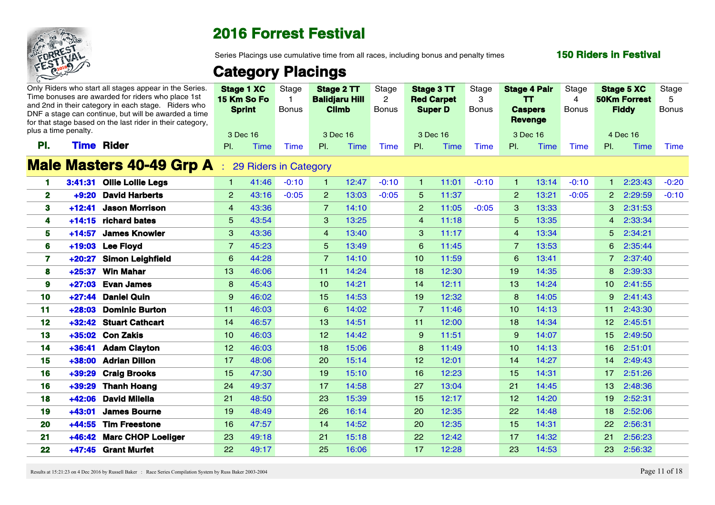

Series Placings use cumulative time from all races, including bonus and penalty times

### **150 Riders in Festival**

# **Category Placings**

|                         |          | Only Riders who start all stages appear in the Series.<br>Time bonuses are awarded for riders who place 1st<br>and 2nd in their category in each stage. Riders who<br>DNF a stage can continue, but will be awarded a time |                 | <b>Stage 1 XC</b><br>15 Km So Fo<br><b>Sprint</b> | Stage<br><b>Bonus</b> | Stage 2 TT<br><b>Balidjaru Hill</b><br><b>Climb</b> |       | Stage<br>$\overline{2}$<br><b>Bonus</b> | Stage 3 TT<br><b>Red Carpet</b><br><b>Super D</b> |       | Stage<br>$\mathbf{3}$<br><b>Bonus</b> | <b>Stage 4 Pair</b><br>$\mathbf{T}$<br><b>Caspers</b> |       | Stage<br>$\overline{4}$<br><b>Bonus</b> | <b>Stage 5 XC</b><br><b>50Km Forrest</b><br><b>Fiddy</b> |             | Stage<br>-5<br><b>Bonus</b> |  |
|-------------------------|----------|----------------------------------------------------------------------------------------------------------------------------------------------------------------------------------------------------------------------------|-----------------|---------------------------------------------------|-----------------------|-----------------------------------------------------|-------|-----------------------------------------|---------------------------------------------------|-------|---------------------------------------|-------------------------------------------------------|-------|-----------------------------------------|----------------------------------------------------------|-------------|-----------------------------|--|
| plus a time penalty.    |          | for that stage based on the last rider in their category,                                                                                                                                                                  |                 | 3 Dec 16                                          |                       | 3 Dec 16                                            |       |                                         | 3 Dec 16                                          |       |                                       | <b>Revenge</b><br>3 Dec 16                            |       |                                         | 4 Dec 16                                                 |             |                             |  |
| PI.                     |          | <b>Time Rider</b>                                                                                                                                                                                                          | PL              | Time                                              | <b>Time</b>           | PL                                                  | Time  | Time                                    | PI.                                               | Time  | Time                                  | PL                                                    | Time  | Time                                    | PI.                                                      | Time        | <b>Time</b>                 |  |
|                         |          | <b>Male Masters 40-49 Grp A</b>                                                                                                                                                                                            |                 | 29 Riders in Category                             |                       |                                                     |       |                                         |                                                   |       |                                       |                                                       |       |                                         |                                                          |             |                             |  |
|                         |          | 3:41:31 Ollie Lollie Legs                                                                                                                                                                                                  |                 | 41:46                                             | $-0:10$               |                                                     | 12:47 | $-0:10$                                 |                                                   | 11:01 | $-0:10$                               |                                                       | 13:14 | $-0:10$                                 |                                                          | 2:23:43     | $-0:20$                     |  |
| $\overline{\mathbf{2}}$ |          | +9:20 David Harberts                                                                                                                                                                                                       | 2 <sup>2</sup>  | 43:16                                             | $-0:05$               | $\overline{2}$                                      | 13:03 | $-0:05$                                 | 5                                                 | 11:37 |                                       | $\overline{2}$                                        | 13:21 | $-0:05$                                 |                                                          | 2 2:29:59   | $-0:10$                     |  |
| -3                      |          | +12:41 Jason Morrison                                                                                                                                                                                                      | $\overline{4}$  | 43:36                                             |                       | $\overline{7}$                                      | 14:10 |                                         | $\overline{2}$                                    | 11:05 | $-0:05$                               | $\mathbf{3}$                                          | 13:33 |                                         |                                                          | 3 2:31:53   |                             |  |
|                         |          | +14:15 richard bates                                                                                                                                                                                                       | 5 <sup>5</sup>  | 43:54                                             |                       | $\mathbf{3}$                                        | 13:25 |                                         | $\overline{4}$                                    | 11:18 |                                       | -5.                                                   | 13:35 |                                         | $\overline{4}$                                           | 2:33:34     |                             |  |
| -5                      |          | +14:57 James Knowler                                                                                                                                                                                                       | $\mathbf{3}$    | 43:36                                             |                       | $\overline{4}$                                      | 13:40 |                                         | $\mathbf{3}$                                      | 11:17 |                                       | $\overline{4}$                                        | 13:34 |                                         |                                                          | $5$ 2:34:21 |                             |  |
| 6                       |          | +19:03 Lee Floyd                                                                                                                                                                                                           | $\overline{7}$  | 45:23                                             |                       | 5 <sup>5</sup>                                      | 13:49 |                                         | $6^{\circ}$                                       | 11:45 |                                       | $\overline{7}$                                        | 13:53 |                                         |                                                          | 6 2:35:44   |                             |  |
|                         |          | +20:27 Simon Leighfield                                                                                                                                                                                                    | $6^{\circ}$     | 44:28                                             |                       | $\overline{7}$                                      | 14:10 |                                         | 10 <sup>1</sup>                                   | 11:59 |                                       | 6                                                     | 13:41 |                                         |                                                          | 7 2:37:40   |                             |  |
|                         | $+25:37$ | <b>Win Mahar</b>                                                                                                                                                                                                           | 13 <sup>7</sup> | 46:06                                             |                       | 11                                                  | 14:24 |                                         | 18                                                | 12:30 |                                       | 19                                                    | 14:35 |                                         | 8 <sup>°</sup>                                           | 2:39:33     |                             |  |
|                         |          | +27:03 Evan James                                                                                                                                                                                                          | 8               | 45:43                                             |                       | 10 <sup>1</sup>                                     | 14:21 |                                         | 14                                                | 12:11 |                                       | 13 <sub>1</sub>                                       | 14:24 |                                         |                                                          | 10 2:41:55  |                             |  |
| 10                      |          | +27:44 Daniel Quin                                                                                                                                                                                                         | $9^{\circ}$     | 46:02                                             |                       | 15 <sub>1</sub>                                     | 14:53 |                                         | 19 <sup>°</sup>                                   | 12:32 |                                       | 8                                                     | 14:05 |                                         |                                                          | 9 2:41:43   |                             |  |
| 11                      |          | +28:03 Dominic Burton                                                                                                                                                                                                      | 11 <sup>1</sup> | 46:03                                             |                       | -6                                                  | 14:02 |                                         | $\overline{7}$                                    | 11:46 |                                       | 10 <sup>°</sup>                                       | 14:13 |                                         |                                                          | 11 2:43:30  |                             |  |
| $\bullet$               |          | +32:42 Stuart Cathcart                                                                                                                                                                                                     | 14              | 46:57                                             |                       | 13 <sup>°</sup>                                     | 14:51 |                                         | 11                                                | 12:00 |                                       | 18                                                    | 14:34 |                                         | 12 <sup>7</sup>                                          | 2:45:51     |                             |  |
| -13                     |          | +35:02 Con Zakis                                                                                                                                                                                                           | 10 <sup>1</sup> | 46:03                                             |                       | 12 <sup>7</sup>                                     | 14:42 |                                         | -9                                                | 11:51 |                                       | $\mathbf{9}$                                          | 14:07 |                                         | 15 <sup>2</sup>                                          | 2:49:50     |                             |  |
| -14                     | $+36:41$ | <b>Adam Clayton</b>                                                                                                                                                                                                        | 12 <sup>2</sup> | 46:03                                             |                       | 18 <sup>1</sup>                                     | 15:06 |                                         | 8                                                 | 11:49 |                                       | 10 <sup>1</sup>                                       | 14:13 |                                         | 16 <sup>1</sup>                                          | 2:51:01     |                             |  |
| 15                      |          | +38:00 Adrian Dillon                                                                                                                                                                                                       | 17 <sup>2</sup> | 48:06                                             |                       | <b>20</b>                                           | 15:14 |                                         | 12 <sup>2</sup>                                   | 12:01 |                                       | 14                                                    | 14:27 |                                         | 14                                                       | 2:49:43     |                             |  |
| 16                      |          | +39:29 Craig Brooks                                                                                                                                                                                                        | 15 <sub>1</sub> | 47:30                                             |                       | 19 <sup>°</sup>                                     | 15:10 |                                         | 16                                                | 12:23 |                                       | 15                                                    | 14:31 |                                         |                                                          | 17 2:51:26  |                             |  |
| 16                      |          | +39:29 Thanh Hoang                                                                                                                                                                                                         | 24              | 49:37                                             |                       | 17 <sup>2</sup>                                     | 14:58 |                                         | 27                                                | 13:04 |                                       | 21                                                    | 14:45 |                                         | 13 <sup>7</sup>                                          | 2:48:36     |                             |  |
| 18                      |          | +42:06 David Milella                                                                                                                                                                                                       | 21              | 48:50                                             |                       | 23                                                  | 15:39 |                                         | 15 <sub>1</sub>                                   | 12:17 |                                       | 12 <sub>2</sub>                                       | 14:20 |                                         | 19 <sup>°</sup>                                          | 2:52:31     |                             |  |
| 19                      | $+43:01$ | <b>James Bourne</b>                                                                                                                                                                                                        | 19 <sup>°</sup> | 48:49                                             |                       | 26                                                  | 16:14 |                                         | 20                                                | 12:35 |                                       | 22                                                    | 14:48 |                                         | 18                                                       | 2:52:06     |                             |  |
| 20                      |          | +44:55 Tim Freestone                                                                                                                                                                                                       | 16 <sup>°</sup> | 47:57                                             |                       | 14                                                  | 14:52 |                                         | 20                                                | 12:35 |                                       | 15                                                    | 14:31 |                                         | 22                                                       | 2:56:31     |                             |  |
| 21                      |          | +46:42 Marc CHOP Loeliger                                                                                                                                                                                                  | 23              | 49:18                                             |                       | 21                                                  | 15:18 |                                         | 22                                                | 12:42 |                                       | 17                                                    | 14:32 |                                         | 21                                                       | 2:56:23     |                             |  |
| 22 <sub>2</sub>         |          | +47:45 Grant Murfet                                                                                                                                                                                                        | 22 <sub>2</sub> | 49:17                                             |                       | 25                                                  | 16:06 |                                         | 17                                                | 12:28 |                                       | 23                                                    | 14:53 |                                         | 23                                                       | 2:56:32     |                             |  |

Results at 15:21:23 on 4 Dec 2016 by Russell Baker : Race Series Compilation System by Russ Baker 2003-2004 Page 11 of 18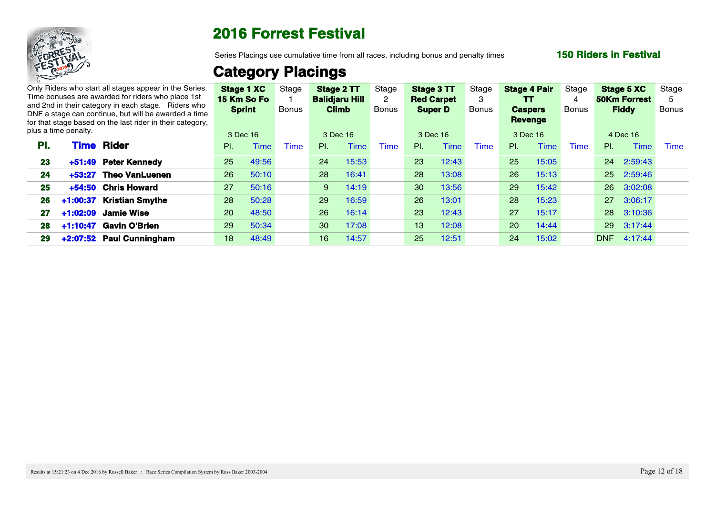

Series Placings use cumulative time from all races, including bonus and penalty times

### **150 Riders in Festival**

|     |                      | Only Riders who start all stages appear in the Series.<br>Time bonuses are awarded for riders who place 1st |                 | Stage 1 XC<br>15 Km So Fo | Stage | <b>Balidjaru Hill</b> | Stage 2 TT  | Stage       | Stage 3 TT<br><b>Red Carpet</b> |             | Stage       |                 | <b>Stage 4 Pair</b><br>TT | Stage |    | Stage 5 XC<br><b>50Km Forrest</b> | Stage |
|-----|----------------------|-------------------------------------------------------------------------------------------------------------|-----------------|---------------------------|-------|-----------------------|-------------|-------------|---------------------------------|-------------|-------------|-----------------|---------------------------|-------|----|-----------------------------------|-------|
|     |                      | and 2nd in their category in each stage. Riders who<br>DNF a stage can continue, but will be awarded a time |                 | <b>Sprint</b>             | Bonus | Climb                 |             | Bonus       | <b>Super D</b>                  |             | Bonus       | <b>Caspers</b>  |                           | Bonus |    | <b>Fiddy</b>                      | Bonus |
|     | plus a time penalty. | for that stage based on the last rider in their category,                                                   |                 | 3 Dec 16                  |       | 3 Dec 16              |             |             | 3 Dec 16                        |             |             | 3 Dec 16        | Revenge                   |       |    | 4 Dec 16                          |       |
| PI. |                      | <b>Time Rider</b>                                                                                           | PL              | Time                      | Γime⊹ | PI.                   | <b>Time</b> | <b>Time</b> | PI.                             | <b>Time</b> | <b>Time</b> | PI.             | <sup>-</sup> ime          | Time  | PL | Time                              | Time  |
| 23  | +51:49               | <b>Peter Kennedy</b>                                                                                        | 25 <sub>2</sub> | 49:56                     |       | 24                    | 15:53       |             | 23                              | 12:43       |             | 25              | 15:05                     |       |    | 24 2:59:43                        |       |
| 24  | $+53:27$             | <b>Theo VanLuenen</b>                                                                                       | 26 <sup>2</sup> | 50:10                     |       | 28                    | 16:41       |             | 28                              | 13:08       |             | 26              | 15:13                     |       |    | 25 2:59:46                        |       |
| 25  | $+54:50$             | <b>Chris Howard</b>                                                                                         | 27              | 50:16                     |       | 9                     | 14:19       |             | 30 <sup>°</sup>                 | 13:56       |             | 29              | 15:42                     |       |    | 26 3:02:08                        |       |
|     |                      | 26 +1:00:37 Kristian Smythe                                                                                 | 28 <sup>°</sup> | 50:28                     |       | 29 <sup>°</sup>       | 16:59       |             | 26 <sup>2</sup>                 | 13:01       |             | 28              | 15:23                     |       |    | 27 3:06:17                        |       |
|     |                      | 27 +1:02:09 Jamie Wise                                                                                      | 20 <sup>2</sup> | 48:50                     |       | 26                    | 16:14       |             | 23                              | 12:43       |             | 27              | 15:17                     |       |    | 28 3:10:36                        |       |
|     |                      | 28 +1:10:47 Gavin O'Brien                                                                                   | 29              | 50:34                     |       | 30 <sup>°</sup>       | 17:08       |             | $13 -$                          | 12:08       |             | 20 <sup>2</sup> | 14:44                     |       |    | 29 3:17:44                        |       |
| 29  |                      | +2:07:52 Paul Cunningham                                                                                    | 18              | 48:49                     |       | 16 <sup>1</sup>       | 14:57       |             | 25 <sub>2</sub>                 | 12:51       |             | 24              | 15:02                     |       |    | DNF 4:17:44                       |       |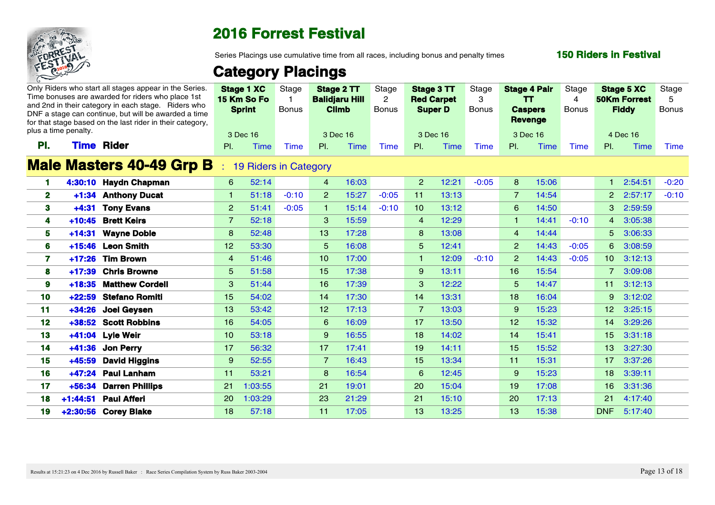

Series Placings use cumulative time from all races, including bonus and penalty times

### **150 Riders in Festival**

|                 | plus a time penalty. | Only Riders who start all stages appear in the Series.<br>Time bonuses are awarded for riders who place 1st<br>and 2nd in their category in each stage. Riders who<br>DNF a stage can continue, but will be awarded a time<br>for that stage based on the last rider in their category, |                 | <b>Stage 1 XC</b><br>15 Km So Fo<br><b>Sprint</b><br>3 Dec 16 | , Stage<br><b>Bonus</b> | <b>Climb</b><br>3 Dec 16 | Stage 2 TT<br><b>Balidjaru Hill</b> | Stage<br><b>Bonus</b> | Stage 3 TT<br><b>Red Carpet</b><br><b>Super D</b><br>3 Dec 16 |       | Stage<br><b>Bonus</b> | <b>Caspers</b><br>Revenge<br>3 Dec 16 | <b>Stage 4 Pair</b><br>TT. | Stage<br>-4<br><b>Bonus</b> | <b>Stage 5 XC</b><br><b>50Km Forrest</b><br><b>Fiddy</b><br>4 Dec 16 |                    | Stage<br><b>Bonus</b> |
|-----------------|----------------------|-----------------------------------------------------------------------------------------------------------------------------------------------------------------------------------------------------------------------------------------------------------------------------------------|-----------------|---------------------------------------------------------------|-------------------------|--------------------------|-------------------------------------|-----------------------|---------------------------------------------------------------|-------|-----------------------|---------------------------------------|----------------------------|-----------------------------|----------------------------------------------------------------------|--------------------|-----------------------|
| PI.             | <b>Time</b>          | Rider                                                                                                                                                                                                                                                                                   | PI.             | Time                                                          | Time                    | PL                       | Time                                | Time                  | PI.                                                           | Time  | Time                  | PI.                                   | Time                       | Time                        | PI.                                                                  | Time               | Time                  |
|                 |                      | <b>Male Masters 40-49 Grp B</b>                                                                                                                                                                                                                                                         |                 | 19 Riders in Category                                         |                         |                          |                                     |                       |                                                               |       |                       |                                       |                            |                             |                                                                      |                    |                       |
|                 |                      | 4:30:10 Haydn Chapman                                                                                                                                                                                                                                                                   | 6 <sup>1</sup>  | 52:14                                                         |                         | $\overline{4}$           | 16:03                               |                       | 2 <sup>7</sup>                                                | 12:21 | $-0:05$               | 8                                     | 15:06                      |                             |                                                                      | $1 \quad 2:54:51$  | $-0:20$               |
| $\mathbf{2}$    |                      | +1:34 Anthony Ducat                                                                                                                                                                                                                                                                     | $\mathbf{1}$    | 51:18                                                         | $-0:10$                 | $\overline{2}$           | 15:27                               | $-0:05$               | 11                                                            | 13:13 |                       | 7                                     | 14:54                      |                             |                                                                      | 2 2:57:17          | $-0:10$               |
| -3-             |                      | +4:31 Tony Evans                                                                                                                                                                                                                                                                        | $\mathbf{2}$    | 51:41                                                         | $-0:05$                 |                          | 15:14                               | $-0:10$               | 10 <sup>1</sup>                                               | 13:12 |                       | 6                                     | 14:50                      |                             |                                                                      | 3 2:59:59          |                       |
|                 |                      | +10:45 Brett Keirs                                                                                                                                                                                                                                                                      | $7^{\circ}$     | 52:18                                                         |                         | $\mathbf{3}$             | 15:59                               |                       | $\overline{4}$                                                | 12:29 |                       |                                       | 14:41                      | $-0:10$                     |                                                                      | 4 3:05:38          |                       |
| -5              |                      | +14:31 Wayne Doble                                                                                                                                                                                                                                                                      | 8               | 52:48                                                         |                         | 13 <sup>13</sup>         | 17:28                               |                       | 8                                                             | 13:08 |                       | $\overline{4}$                        | 14:44                      |                             |                                                                      | 5 3:06:33          |                       |
| 6               |                      | +15:46 Leon Smith                                                                                                                                                                                                                                                                       | $12-12$         | 53:30                                                         |                         | 5 <sup>1</sup>           | 16:08                               |                       | 5 <sup>5</sup>                                                | 12:41 |                       | 2 <sup>1</sup>                        | 14:43                      | $-0:05$                     |                                                                      | 6 3:08:59          |                       |
|                 |                      | $+17:26$ Tim Brown                                                                                                                                                                                                                                                                      | $\overline{4}$  | 51:46                                                         |                         | 10 <sup>1</sup>          | 17:00                               |                       | $\mathbf{1}$                                                  | 12:09 | $-0:10$               | $\overline{2}$                        | 14:43                      | $-0:05$                     |                                                                      | 10 3:12:13         |                       |
| 8               |                      | +17:39 Chris Browne                                                                                                                                                                                                                                                                     | 5 <sup>5</sup>  | 51:58                                                         |                         | 15 <sub>1</sub>          | 17:38                               |                       | 9                                                             | 13:11 |                       | 16 <sup>1</sup>                       | 15:54                      |                             |                                                                      | 7 3:09:08          |                       |
|                 | $+18:35$             | <b>Matthew Cordell</b>                                                                                                                                                                                                                                                                  | 3 <sup>1</sup>  | 51:44                                                         |                         | 16                       | 17:39                               |                       | $\mathbf{3}$                                                  | 12:22 |                       | 5                                     | 14:47                      |                             |                                                                      | $11 \quad 3:12:13$ |                       |
| 10              | $+22:59$             | <b>Stefano Romiti</b>                                                                                                                                                                                                                                                                   | 15 <sub>1</sub> | 54:02                                                         |                         | 14                       | 17:30                               |                       | 14                                                            | 13:31 |                       | 18 <sup>°</sup>                       | 16:04                      |                             |                                                                      | $9$ 3:12:02        |                       |
| 11              |                      | +34:26 Joel Geysen                                                                                                                                                                                                                                                                      | 13 <sup>7</sup> | 53:42                                                         |                         | 12 <sup>7</sup>          | 17:13                               |                       | $\overline{7}$                                                | 13:03 |                       | 9                                     | 15:23                      |                             |                                                                      | 12 3:25:15         |                       |
| 12 <sub>1</sub> |                      | +38:52 Scott Robbins                                                                                                                                                                                                                                                                    | 16 <sup>1</sup> | 54:05                                                         |                         | 6                        | 16:09                               |                       | 17 <sub>2</sub>                                               | 13:50 |                       | 12 <sup>7</sup>                       | 15:32                      |                             |                                                                      | 14 3:29:26         |                       |
| 13              |                      | +41:04 Lyle Weir                                                                                                                                                                                                                                                                        | 10 <sup>1</sup> | 53:18                                                         |                         | 9                        | 16:55                               |                       | 18                                                            | 14:02 |                       | 14                                    | 15:41                      |                             |                                                                      | 15 3:31:18         |                       |
| -14             |                      | +41:36 Jon Perry                                                                                                                                                                                                                                                                        | 17 <sup>2</sup> | 56:32                                                         |                         | 17 <sup>2</sup>          | 17:41                               |                       | 19 <sup>°</sup>                                               | 14:11 |                       | 15 <sub>1</sub>                       | 15:52                      |                             |                                                                      | 13 3:27:30         |                       |
| 15              |                      | +45:59 David Higgins                                                                                                                                                                                                                                                                    | 9               | 52:55                                                         |                         | $\overline{7}$           | 16:43                               |                       | 15 <sub>1</sub>                                               | 13:34 |                       | 11                                    | 15:31                      |                             | 17 <sup>7</sup>                                                      | 3:37:26            |                       |
| 16.             |                      | +47:24 Paul Lanham                                                                                                                                                                                                                                                                      | 11              | 53:21                                                         |                         | 8                        | 16:54                               |                       | 6                                                             | 12:45 |                       | 9                                     | 15:23                      |                             | 18 <sup>1</sup>                                                      | 3:39:11            |                       |
| 17 <sup>7</sup> | $+56:34$             | <b>Darren Phillips</b>                                                                                                                                                                                                                                                                  |                 | 21 1:03:55                                                    |                         | 21                       | 19:01                               |                       | <b>20</b>                                                     | 15:04 |                       | 19 <sup>°</sup>                       | 17:08                      |                             | 16 <sup>1</sup>                                                      | 3:31:36            |                       |
| 18              |                      | +1:44:51 Paul Afferi                                                                                                                                                                                                                                                                    |                 | 20 1:03:29                                                    |                         | 23                       | 21:29                               |                       | 21                                                            | 15:10 |                       | 20                                    | 17:13                      |                             | 21                                                                   | 4:17:40            |                       |
| 19              |                      | +2:30:56 Corey Blake                                                                                                                                                                                                                                                                    | 18              | 57:18                                                         |                         | 11                       | 17:05                               |                       | 13 <sup>7</sup>                                               | 13:25 |                       | 13 <sup>°</sup>                       | 15:38                      |                             | <b>DNF</b>                                                           | 5:17:40            |                       |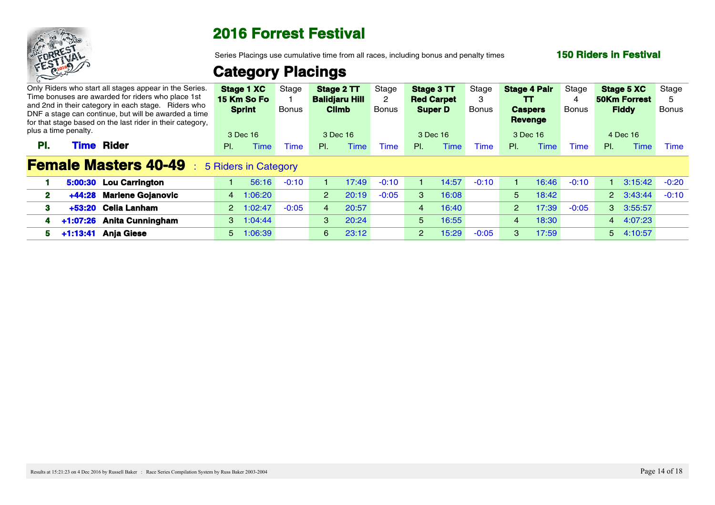

Series Placings use cumulative time from all races, including bonus and penalty times

### **150 Riders in Festival**

|                                                                                                                                                                          |             | Only Riders who start all stages appear in the Series.<br>Time bonuses are awarded for riders who place 1st |                        | Stage 1 XC<br>15 Km So Fo | Stage       |                       | Stage 2 TT<br><b>Balidjaru Hill</b> | Stage   |                 | Stage 3 TT<br><b>Red Carpet</b> | Stage   |                                    | <b>Stage 4 Pair</b><br>TT. | Stage        | <b>Stage 5 XC</b><br><b>50Km Forrest</b> |                 | Stage |
|--------------------------------------------------------------------------------------------------------------------------------------------------------------------------|-------------|-------------------------------------------------------------------------------------------------------------|------------------------|---------------------------|-------------|-----------------------|-------------------------------------|---------|-----------------|---------------------------------|---------|------------------------------------|----------------------------|--------------|------------------------------------------|-----------------|-------|
| and 2nd in their category in each stage. Riders who<br>DNF a stage can continue, but will be awarded a time<br>for that stage based on the last rider in their category, |             |                                                                                                             | <b>Sprint</b><br>Bonus |                           |             | <b>Climb</b><br>Bonus |                                     |         | <b>Super D</b>  | Bonus                           |         | <b>Caspers</b><br>Bonus<br>Revenge |                            | <b>Fiddy</b> |                                          | Bonus           |       |
| plus a time penalty.                                                                                                                                                     |             |                                                                                                             |                        | 3 Dec 16                  |             |                       | 3 Dec 16                            |         |                 | 3 Dec 16                        |         |                                    | 3 Dec 16                   |              | 4 Dec 16                                 |                 |       |
| PL.                                                                                                                                                                      | <b>Time</b> | Rider                                                                                                       | $PL =$                 | <b>Time</b>               | <b>Time</b> | $\mathsf{PI}$ .       | Time                                | Time    | $\mathsf{PI}$ . | Time                            | Time    | PI.                                | <b>Time</b>                | Time         | PI.                                      | <b>Time</b>     | Time  |
|                                                                                                                                                                          |             | <b>Female Masters 40-49</b> : 5 Riders in Category                                                          |                        |                           |             |                       |                                     |         |                 |                                 |         |                                    |                            |              |                                          |                 |       |
|                                                                                                                                                                          |             | 5:00:30 Lou Carrington                                                                                      |                        | 56:16                     | $-0:10$     |                       | 17:49                               | $-0:10$ |                 | 14:57                           | $-0:10$ |                                    | 16:46                      | $-0:10$      |                                          | $3:15:42 -0:20$ |       |
|                                                                                                                                                                          |             | +44:28 Marlene Gojanovic                                                                                    |                        | 4 1:06:20                 |             | $\sim$ 2              | 20:19                               | $-0:05$ | -3              | 16:08                           |         | 5.                                 | 18:42                      |              |                                          | 2 3:43:44 -0:10 |       |
|                                                                                                                                                                          |             | +53:20 Celia Lanham                                                                                         |                        | 2 1:02:47                 | $-0:05$     |                       | 20:57                               |         | 4               | 16:40                           |         |                                    | 2 17:39                    | $-0:05$      | 3 3:55:57                                |                 |       |
|                                                                                                                                                                          |             | +1:07:26 Anita Cunningham                                                                                   |                        | $3 \quad 1:04:44$         |             | -3                    | 20:24                               |         | 5 <sup>5</sup>  | 16:55                           |         |                                    | 18:30                      |              | 4 4:07:23                                |                 |       |
|                                                                                                                                                                          |             | 5 +1:13:41 Anja Giese                                                                                       |                        | 5 1:06:39                 |             | 6                     | 23:12                               |         | $\overline{2}$  | 15:29                           | $-0:05$ |                                    | 17:59                      |              | 5 4:10:57                                |                 |       |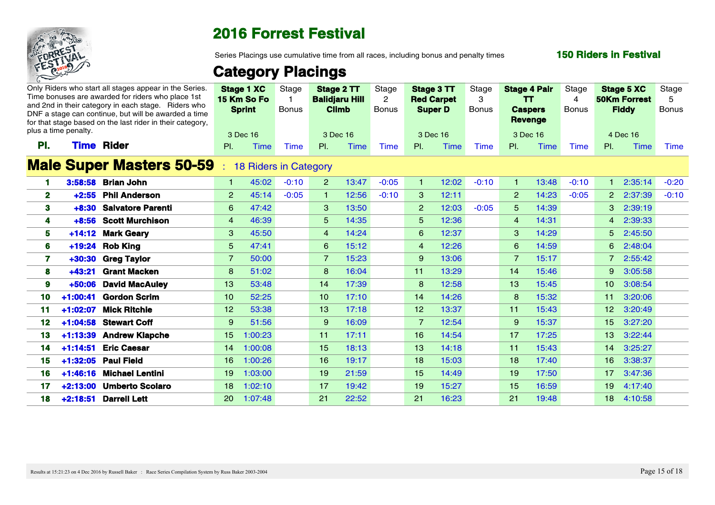

Series Placings use cumulative time from all races, including bonus and penalty times

### **150 Riders in Festival**

|     | plus a time penalty. | Only Riders who start all stages appear in the Series.<br>Time bonuses are awarded for riders who place 1st<br>and 2nd in their category in each stage. Riders who<br>DNF a stage can continue, but will be awarded a time<br>for that stage based on the last rider in their category. |                 | <b>Stage 1 XC</b><br>15 Km So Fo<br><b>Sprint</b><br>3 Dec 16 | Stage<br><b>Bonus</b> | Stage 2 TT<br><b>Balidjaru Hill</b><br><b>Climb</b><br>3 Dec 16 |             | Stage<br><b>Bonus</b> | Stage 3 TT<br><b>Red Carpet</b><br><b>Super D</b><br>3 Dec 16 |             | Stage<br>3<br><b>Bonus</b> | <b>Stage 4 Pair</b><br>$\mathbf{T}$<br><b>Caspers</b><br><b>Revenge</b><br>3 Dec 16 |       | Stage<br>-4<br><b>Bonus</b> | <b>Stage 5 XC</b><br><b>50Km Forrest</b><br><b>Fiddy</b><br>4 Dec 16 |         | Stage<br><b>Bonus</b> |
|-----|----------------------|-----------------------------------------------------------------------------------------------------------------------------------------------------------------------------------------------------------------------------------------------------------------------------------------|-----------------|---------------------------------------------------------------|-----------------------|-----------------------------------------------------------------|-------------|-----------------------|---------------------------------------------------------------|-------------|----------------------------|-------------------------------------------------------------------------------------|-------|-----------------------------|----------------------------------------------------------------------|---------|-----------------------|
| PI. | <b>Time</b>          | Rider                                                                                                                                                                                                                                                                                   | PI.             | Time                                                          | <b>Time</b>           | PI.                                                             | <b>Time</b> | <b>Time</b>           | PI.                                                           | <b>Time</b> | Time                       | PI.                                                                                 | Time  | Time                        | PI.                                                                  | Time    | Time                  |
|     |                      | <b>Male Super Masters 50-59</b>                                                                                                                                                                                                                                                         |                 | <b>18 Riders in Category</b>                                  |                       |                                                                 |             |                       |                                                               |             |                            |                                                                                     |       |                             |                                                                      |         |                       |
|     |                      | 3:58:58 Brian John                                                                                                                                                                                                                                                                      |                 | 45:02                                                         | $-0:10$               |                                                                 | 13:47       | $-0:05$               |                                                               | 12:02       | $-0:10$                    |                                                                                     | 13:48 | $-0:10$                     |                                                                      | 2:35:14 | $-0:20$               |
| -2  |                      | +2:55 Phil Anderson                                                                                                                                                                                                                                                                     | 2 <sup>2</sup>  | 45:14                                                         | $-0:05$               |                                                                 | 12:56       | $-0:10$               | 3                                                             | 12:11       |                            | $\mathbf{2}$                                                                        | 14:23 | $-0:05$                     | 2 2:37:39                                                            |         | $-0:10$               |
|     |                      | +8:30 Salvatore Parenti                                                                                                                                                                                                                                                                 | 6 <sup>1</sup>  | 47:42                                                         |                       | $\mathbf{3}$                                                    | 13:50       |                       | $\overline{2}$                                                | 12:03       | $-0:05$                    | -5                                                                                  | 14:39 |                             | 3 2:39:19                                                            |         |                       |
|     |                      | +8:56 Scott Murchison                                                                                                                                                                                                                                                                   | $\overline{4}$  | 46:39                                                         |                       | 5 <sup>5</sup>                                                  | 14:35       |                       | 5                                                             | 12:36       |                            |                                                                                     | 14:31 |                             | 4 2:39:33                                                            |         |                       |
| 5   |                      | +14:12 Mark Geary                                                                                                                                                                                                                                                                       | $\mathbf{3}$    | 45:50                                                         |                       | $\overline{4}$                                                  | 14:24       |                       | 6                                                             | 12:37       |                            | 3                                                                                   | 14:29 |                             | 5 2:45:50                                                            |         |                       |
| -6  |                      | +19:24 Rob King                                                                                                                                                                                                                                                                         | 5 <sup>5</sup>  | 47:41                                                         |                       | 6                                                               | 15:12       |                       | $\overline{4}$                                                | 12:26       |                            | -6                                                                                  | 14:59 |                             | 6 2:48:04                                                            |         |                       |
|     |                      | +30:30 Greg Taylor                                                                                                                                                                                                                                                                      | $\overline{7}$  | 50:00                                                         |                       | $\overline{7}$                                                  | 15:23       |                       | -9                                                            | 13:06       |                            |                                                                                     | 15:17 |                             | 7 2:55:42                                                            |         |                       |
|     | $+43:21$             | <b>Grant Macken</b>                                                                                                                                                                                                                                                                     | 8               | 51:02                                                         |                       | 8                                                               | 16:04       |                       | 11 <sub>1</sub>                                               | 13:29       |                            | 14                                                                                  | 15:46 |                             | 9 3:05:58                                                            |         |                       |
|     | $+50:06$             | <b>David MacAuley</b>                                                                                                                                                                                                                                                                   | 13 <sup>7</sup> | 53:48                                                         |                       | 14                                                              | 17:39       |                       | 8                                                             | 12:58       |                            | 13 <sup>°</sup>                                                                     | 15:45 |                             | 10 3:08:54                                                           |         |                       |
| 10  | $+1:00:41$           | <b>Gordon Scrim</b>                                                                                                                                                                                                                                                                     | $10-10$         | 52:25                                                         |                       | 10 <sup>1</sup>                                                 | 17:10       |                       | 14                                                            | 14:26       |                            | 8                                                                                   | 15:32 |                             | 11 3:20:06                                                           |         |                       |
| 11  |                      | 1:02:07 Mick Ritchie                                                                                                                                                                                                                                                                    | 12 <sup>7</sup> | 53:38                                                         |                       | 13 <sup>°</sup>                                                 | 17:18       |                       | 12 <sup>7</sup>                                               | 13:37       |                            | 11 <sub>1</sub>                                                                     | 15:43 |                             | 12 3:20:49                                                           |         |                       |
| 12  |                      | +1:04:58 Stewart Coff                                                                                                                                                                                                                                                                   | $9^{\circ}$     | 51:56                                                         |                       | 9                                                               | 16:09       |                       | $\overline{7}$                                                | 12:54       |                            | 9                                                                                   | 15:37 |                             | 15 3:27:20                                                           |         |                       |
| 13  | $+1:13:39$           | <b>Andrew Klapche</b>                                                                                                                                                                                                                                                                   |                 | 15 1:00:23                                                    |                       | 11                                                              | 17:11       |                       | 16 <sup>1</sup>                                               | 14:54       |                            | 17                                                                                  | 17:25 |                             | 13 3:22:44                                                           |         |                       |
| 14  |                      | +1:14:51 Eric Caesar                                                                                                                                                                                                                                                                    |                 | 14 1:00:08                                                    |                       | 15 <sup>2</sup>                                                 | 18:13       |                       | 13 <sup>°</sup>                                               | 14:18       |                            | 11 <sub>1</sub>                                                                     | 15:43 |                             | 14 3:25:27                                                           |         |                       |
| 15  |                      | +1:32:05 Paul Field                                                                                                                                                                                                                                                                     |                 | 16 1:00:26                                                    |                       | 16                                                              | 19:17       |                       | 18                                                            | 15:03       |                            | 18                                                                                  | 17:40 |                             | 16 3:38:37                                                           |         |                       |
| 16. |                      | +1:46:16 Michael Lentini                                                                                                                                                                                                                                                                |                 | 19 1:03:00                                                    |                       | 19 <sup>°</sup>                                                 | 21:59       |                       | 15                                                            | 14:49       |                            | 19                                                                                  | 17:50 |                             | 17 3:47:36                                                           |         |                       |
| 17. |                      | +2:13:00 Umberto Scolaro                                                                                                                                                                                                                                                                |                 | 18 1:02:10                                                    |                       | 17 <sup>2</sup>                                                 | 19:42       |                       | 19 <sup>°</sup>                                               | 15:27       |                            | 15                                                                                  | 16:59 |                             | 19 <sup>°</sup><br>4:17:40                                           |         |                       |
| 18  |                      | +2:18:51 Darrell Lett                                                                                                                                                                                                                                                                   |                 | 20 1:07:48                                                    |                       | 21                                                              | 22:52       |                       | 21                                                            | 16:23       |                            | 21                                                                                  | 19:48 |                             | 18 4:10:58                                                           |         |                       |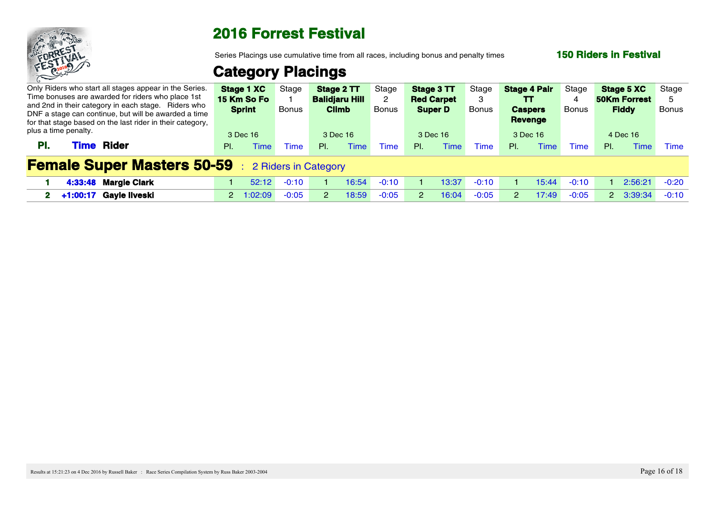

Series Placings use cumulative time from all races, including bonus and penalty times

### **150 Riders in Festival**

| Only Riders who start all stages appear in the Series.<br>Time bonuses are awarded for riders who place 1st<br>and 2nd in their category in each stage. Riders who<br>DNF a stage can continue, but will be awarded a time |     | <b>Stage 1 XC</b> Stage<br>15 Km So Fo<br><b>Sprint</b> | <b>Bonus</b> |         | <b>Balidjaru Hill</b><br><b>Climb</b> | Stage $2TT$ | Stage<br>Bonus | Stage 3 TT<br><b>Red Carpet</b> | <b>Super D</b>  | Stage<br><b>Bonus</b> |     | <b>Stage 4 Pair</b><br>TT<br><b>Caspers</b> | Stage<br><b>Bonus</b> |     | <b>Stage 5 XC</b> Stage<br><b>50Km Forrest</b><br><b>Fiddy</b> | Bonus |
|----------------------------------------------------------------------------------------------------------------------------------------------------------------------------------------------------------------------------|-----|---------------------------------------------------------|--------------|---------|---------------------------------------|-------------|----------------|---------------------------------|-----------------|-----------------------|-----|---------------------------------------------|-----------------------|-----|----------------------------------------------------------------|-------|
| for that stage based on the last rider in their category,<br>plus a time penalty.<br><b>Rider</b><br>Time<br>PI.                                                                                                           | PI. | 3 Dec 16                                                |              | Time    | 3 Dec 16<br>PL.                       | <b>Time</b> | Time           | PL.                             | 3 Dec 16<br>ime | <u>Fime</u>           | PL. | Revenge<br>3 Dec 16                         | Time                  | PI. | 4 Dec 16                                                       | Time  |
| <b>Female Super Masters 50-59</b> : 2 Riders in Category                                                                                                                                                                   |     |                                                         |              |         |                                       |             |                |                                 |                 |                       |     |                                             |                       |     |                                                                |       |
| 4:33:48 Margie Clark                                                                                                                                                                                                       |     | 52:12                                                   |              | -0:10   |                                       |             |                |                                 | 3:37            | $-0:10$               |     |                                             | $-0:10$               |     | $2:56:21 -0:20$                                                |       |
| 2 +1:00:17 Gayle Ilveski                                                                                                                                                                                                   |     | 2 1:02:09                                               |              | $-0:05$ |                                       |             | $-0:05$        |                                 | 16:04           | $-0:05$               |     | 17:49                                       | $-0:05$               |     | $2 \quad 3:39:34 \quad -0:10$                                  |       |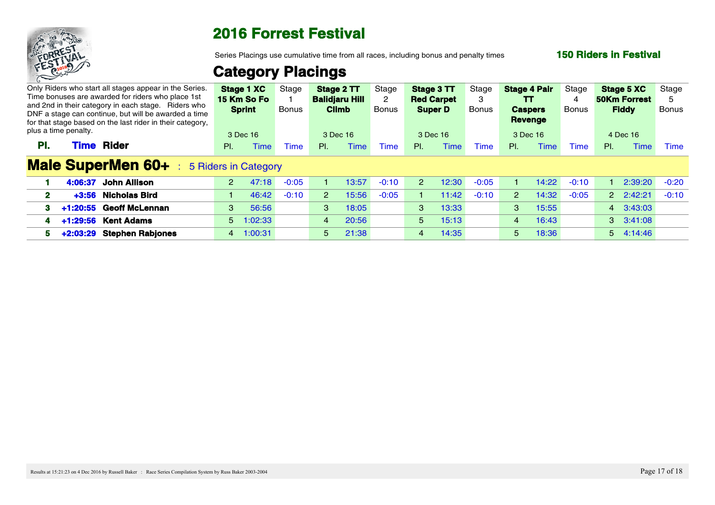

Series Placings use cumulative time from all races, including bonus and penalty times

### **150 Riders in Festival**

|                      |             | Only Riders who start all stages appear in the Series.<br>Time bonuses are awarded for riders who place 1st                                                              |             | <b>Stage 1 XC</b><br>15 Km So Fo | Stage       |    | Stage 2 TT<br><b>Balidjaru Hill</b> | Stage       |                 | Stage 3 TT<br><b>Red Carpet</b> | Stage        |     | <b>Stage 4 Pair</b><br>TT. | Stage       | <b>Stage 5 XC</b><br><b>50Km Forrest</b> |                   | Stage |
|----------------------|-------------|--------------------------------------------------------------------------------------------------------------------------------------------------------------------------|-------------|----------------------------------|-------------|----|-------------------------------------|-------------|-----------------|---------------------------------|--------------|-----|----------------------------|-------------|------------------------------------------|-------------------|-------|
|                      |             | and 2nd in their category in each stage. Riders who<br>DNF a stage can continue, but will be awarded a time<br>for that stage based on the last rider in their category, |             | <b>Sprint</b>                    | Bonus       |    | <b>Climb</b>                        | Bonus       |                 | <b>Super D</b>                  | <b>Bonus</b> |     | <b>Caspers</b><br>Revenge  | Bonus       | <b>Fiddy</b>                             |                   | Bonus |
| plus a time penalty. |             |                                                                                                                                                                          |             | 3 Dec 16                         |             |    | 3 Dec 16                            |             |                 | 3 Dec 16                        |              |     | 3 Dec 16                   |             | 4 Dec 16                                 |                   |       |
| PI.                  | <b>Time</b> | Rider                                                                                                                                                                    | PI.         | Time                             | <b>Time</b> | PL | Time                                | <b>Time</b> | $\mathsf{PI}$ . | ⊺ime                            | <b>Time</b>  | PI. | `ime                       | <b>Time</b> | PI.                                      | Time              | Time  |
|                      |             | <b>Male SuperMen 60+</b>                                                                                                                                                 |             | 5 Riders in Category             |             |    |                                     |             |                 |                                 |              |     |                            |             |                                          |                   |       |
|                      |             | 4:06:37 John Allison                                                                                                                                                     | $2^{\circ}$ | 47:18                            | $-0:05$     |    | 13:57                               | $-0:10$     |                 | 12:30                           | $-0:05$      |     | 14:22                      | $-0:10$     |                                          | 2:39:20 -0:20     |       |
|                      |             | +3:56 Nicholas Bird                                                                                                                                                      |             | 46:42                            | $-0:10$     |    | 15:56                               | $-0:05$     |                 | 11:42                           | $-0:10$      |     | 14:32                      | $-0:05$     |                                          | 2 2:42:21 -0:10   |       |
|                      |             | +1:20:55 Geoff McLennan                                                                                                                                                  |             | 3 56:56                          |             |    | 18:05<br>-3                         |             | -3              | 13:33                           |              |     | 3 15:55                    |             |                                          | 4 3:43:03         |       |
|                      |             | +1:29:56 Kent Adams                                                                                                                                                      |             | $5 - 1:02:33$                    |             |    | 20:56<br>$\overline{4}$             |             | 5               | 15:13                           |              |     | 16:43                      |             |                                          | $3\quad 3:41:08$  |       |
|                      |             | +2:03:29 Stephen Rabjones                                                                                                                                                |             | 4 1:00:31                        |             |    | 21:38<br>5                          |             | 4               | 14:35                           |              | 5.  | 18:36                      |             |                                          | $5 \quad 4:14:46$ |       |